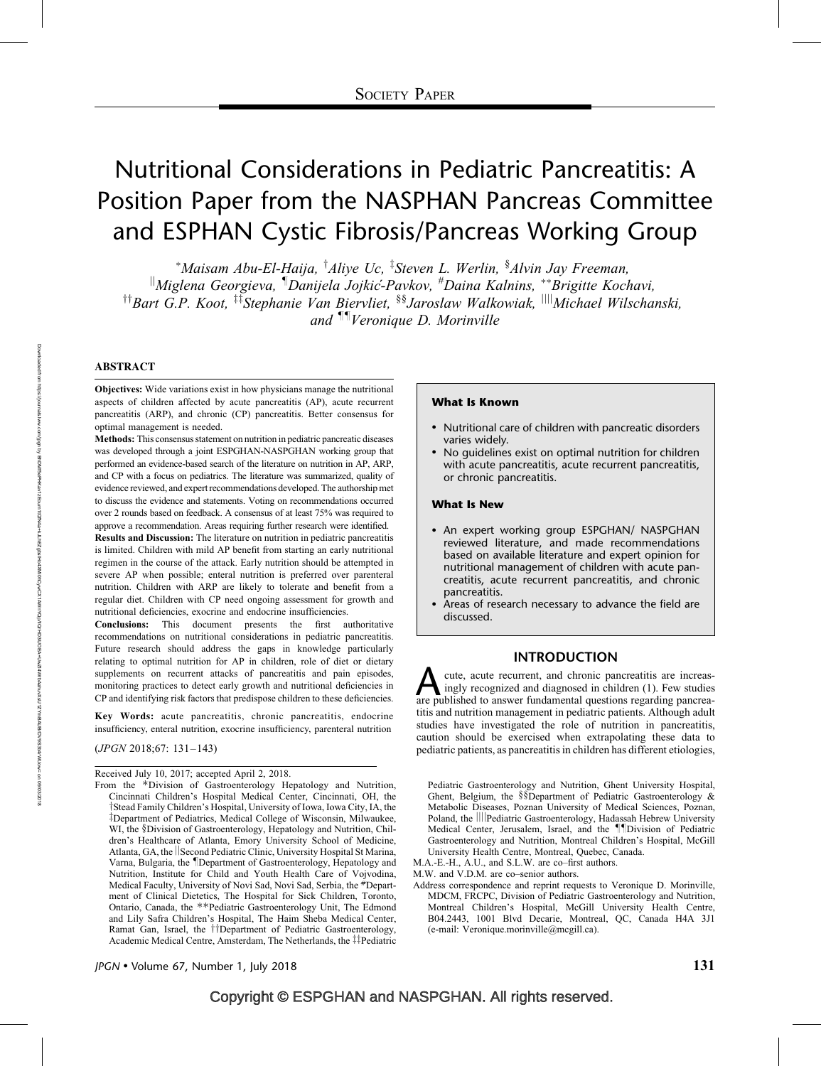# Nutritional Considerations in Pediatric Pancreatitis: A Position Paper from the NASPHAN Pancreas Committee and ESPHAN Cystic Fibrosis/Pancreas Working Group

\*Maisam Abu-El-Haija, <sup>†</sup>Aliye Uc, <sup>‡</sup>Steven L. Werlin, <sup>§</sup>Alvin Jay Freeman,

 $\mathbb{I}_{M}$ iglena Georgieva,  $\mathbb{I}_{D}$ anijela Jojkić-Pavkov,  $^{\#}$ Daina Kalnins, \*\*Brigitte Kochavi, <sup>††</sup>Bart G.P. Koot, <sup>‡‡</sup>Stephanie Van Biervliet, <sup>§§</sup>Jaroslaw Walkowiak, <sup>||||</sup>Michael Wilschanski, and <sup>¶¶</sup>Veronique D. Morinville

## ABSTRACT

Objectives: Wide variations exist in how physicians manage the nutritional aspects of children affected by acute pancreatitis (AP), acute recurrent pancreatitis (ARP), and chronic (CP) pancreatitis. Better consensus for optimal management is needed.

Methods: This consensus statement on nutrition in pediatric pancreatic diseases was developed through a joint ESPGHAN-NASPGHAN working group that performed an evidence-based search of the literature on nutrition in AP, ARP, and CP with a focus on pediatrics. The literature was summarized, quality of evidence reviewed, and expert recommendations developed. The authorship met to discuss the evidence and statements. Voting on recommendations occurred over 2 rounds based on feedback. A consensus of at least 75% was required to approve a recommendation. Areas requiring further research were identified.

Results and Discussion: The literature on nutrition in pediatric pancreatitis is limited. Children with mild AP benefit from starting an early nutritional regimen in the course of the attack. Early nutrition should be attempted in severe AP when possible; enteral nutrition is preferred over parenteral nutrition. Children with ARP are likely to tolerate and benefit from a regular diet. Children with CP need ongoing assessment for growth and nutritional deficiencies, exocrine and endocrine insufficiencies.

Conclusions: This document presents the first authoritative recommendations on nutritional considerations in pediatric pancreatitis. Future research should address the gaps in knowledge particularly relating to optimal nutrition for AP in children, role of diet or dietary supplements on recurrent attacks of pancreatitis and pain episodes, monitoring practices to detect early growth and nutritional deficiencies in CP and identifying risk factors that predispose children to these deficiencies.

Key Words: acute pancreatitis, chronic pancreatitis, endocrine insufficiency, enteral nutrition, exocrine insufficiency, parenteral nutrition

(JPGN 2018;67: 131–143)

Received July 10, 2017; accepted April 2, 2018.

#### What Is Known

- Nutritional care of children with pancreatic disorders varies widely.
- No guidelines exist on optimal nutrition for children with acute pancreatitis, acute recurrent pancreatitis, or chronic pancreatitis.

#### What Is New

- An expert working group ESPGHAN/ NASPGHAN reviewed literature, and made recommendations based on available literature and expert opinion for nutritional management of children with acute pancreatitis, acute recurrent pancreatitis, and chronic pancreatitis.
- Areas of research necessary to advance the field are discussed.

## INTRODUCTION

A cute, acute recurrent, and chronic pancreatitis are increas-<br>ingly recognized and diagnosed in children (1). Few studies<br>are published to answer fundamental questions regarding pancreaingly recognized and diagnosed in children (1). Few studies are published to answer fundamental questions regarding pancreatitis and nutrition management in pediatric patients. Although adult studies have investigated the role of nutrition in pancreatitis, caution should be exercised when extrapolating these data to pediatric patients, as pancreatitis in children has different etiologies,

Pediatric Gastroenterology and Nutrition, Ghent University Hospital, Ghent, Belgium, the §§Department of Pediatric Gastroenterology & Metabolic Diseases, Poznan University of Medical Sciences, Poznan, Poland, the ||||Pediatric Gastroenterology, Hadassah Hebrew University Medical Center, Jerusalem, Israel, and the *IIDivision* of Pediatric Gastroenterology and Nutrition, Montreal Children's Hospital, McGill University Health Centre, Montreal, Quebec, Canada.

M.A.-E.-H., A.U., and S.L.W. are co–first authors.

M.W. and V.D.M. are co–senior authors.

Address correspondence and reprint requests to Veronique D. Morinville, MDCM, FRCPC, Division of Pediatric Gastroenterology and Nutrition, Montreal Children's Hospital, McGill University Health Centre, B04.2443, 1001 Blvd Decarie, Montreal, QC, Canada H4A 3J1 (e-mail: Veronique.morinville@mcgill.ca).

From the \*Division of Gastroenterology Hepatology and Nutrition, Cincinnati Children's Hospital Medical Center, Cincinnati, OH, the Tstead Family Children's Hospital, University of Iowa, Iowa City, IA, the zDepartment of Pediatrics, Medical College of Wisconsin, Milwaukee, WI, the §Division of Gastroenterology, Hepatology and Nutrition, Children's Healthcare of Atlanta, Emory University School of Medicine, Atlanta, GA, the Second Pediatric Clinic, University Hospital St Marina, Varna, Bulgaria, the *Department of Gastroenterology*, Hepatology and Nutrition, Institute for Child and Youth Health Care of Vojvodina, Medical Faculty, University of Novi Sad, Novi Sad, Serbia, the #Department of Clinical Dietetics, The Hospital for Sick Children, Toronto, Ontario, Canada, the \*\*Pediatric Gastroenterology Unit, The Edmond and Lily Safra Children's Hospital, The Haim Sheba Medical Center, Ramat Gan, Israel, the <sup>††</sup>Department of Pediatric Gastroenterology, Academic Medical Centre, Amsterdam, The Netherlands, the #Pediatric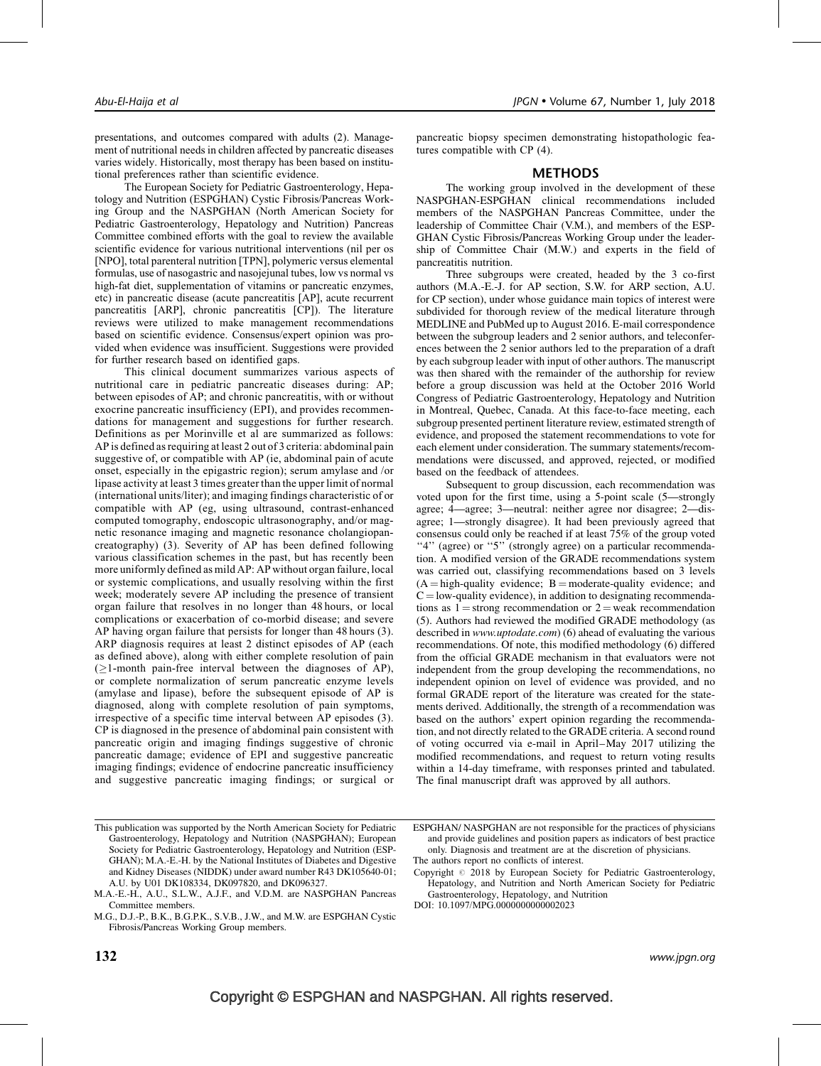presentations, and outcomes compared with adults (2). Management of nutritional needs in children affected by pancreatic diseases varies widely. Historically, most therapy has been based on institutional preferences rather than scientific evidence.

The European Society for Pediatric Gastroenterology, Hepatology and Nutrition (ESPGHAN) Cystic Fibrosis/Pancreas Working Group and the NASPGHAN (North American Society for Pediatric Gastroenterology, Hepatology and Nutrition) Pancreas Committee combined efforts with the goal to review the available scientific evidence for various nutritional interventions (nil per os [NPO], total parenteral nutrition [TPN], polymeric versus elemental formulas, use of nasogastric and nasojejunal tubes, low vs normal vs high-fat diet, supplementation of vitamins or pancreatic enzymes, etc) in pancreatic disease (acute pancreatitis [AP], acute recurrent pancreatitis [ARP], chronic pancreatitis [CP]). The literature reviews were utilized to make management recommendations based on scientific evidence. Consensus/expert opinion was provided when evidence was insufficient. Suggestions were provided for further research based on identified gaps.

This clinical document summarizes various aspects of nutritional care in pediatric pancreatic diseases during: AP; between episodes of AP; and chronic pancreatitis, with or without exocrine pancreatic insufficiency (EPI), and provides recommendations for management and suggestions for further research. Definitions as per Morinville et al are summarized as follows: AP is defined as requiring at least 2 out of 3 criteria: abdominal pain suggestive of, or compatible with AP (ie, abdominal pain of acute onset, especially in the epigastric region); serum amylase and /or lipase activity at least 3 times greater than the upper limit of normal (international units/liter); and imaging findings characteristic of or compatible with AP (eg, using ultrasound, contrast-enhanced computed tomography, endoscopic ultrasonography, and/or magnetic resonance imaging and magnetic resonance cholangiopancreatography) (3). Severity of AP has been defined following various classification schemes in the past, but has recently been more uniformly defined as mild AP: AP without organ failure, local or systemic complications, and usually resolving within the first week; moderately severe AP including the presence of transient organ failure that resolves in no longer than 48 hours, or local complications or exacerbation of co-morbid disease; and severe AP having organ failure that persists for longer than 48 hours (3). ARP diagnosis requires at least 2 distinct episodes of AP (each as defined above), along with either complete resolution of pain  $(21$ -month pain-free interval between the diagnoses of AP), or complete normalization of serum pancreatic enzyme levels (amylase and lipase), before the subsequent episode of AP is diagnosed, along with complete resolution of pain symptoms, irrespective of a specific time interval between AP episodes (3). CP is diagnosed in the presence of abdominal pain consistent with pancreatic origin and imaging findings suggestive of chronic pancreatic damage; evidence of EPI and suggestive pancreatic imaging findings; evidence of endocrine pancreatic insufficiency and suggestive pancreatic imaging findings; or surgical or

pancreatic biopsy specimen demonstrating histopathologic features compatible with CP (4).

## METHODS

The working group involved in the development of these NASPGHAN-ESPGHAN clinical recommendations included members of the NASPGHAN Pancreas Committee, under the leadership of Committee Chair (V.M.), and members of the ESP-GHAN Cystic Fibrosis/Pancreas Working Group under the leadership of Committee Chair (M.W.) and experts in the field of pancreatitis nutrition.

Three subgroups were created, headed by the 3 co-first authors (M.A.-E.-J. for AP section, S.W. for ARP section, A.U. for CP section), under whose guidance main topics of interest were subdivided for thorough review of the medical literature through MEDLINE and PubMed up to August 2016. E-mail correspondence between the subgroup leaders and 2 senior authors, and teleconferences between the 2 senior authors led to the preparation of a draft by each subgroup leader with input of other authors. The manuscript was then shared with the remainder of the authorship for review before a group discussion was held at the October 2016 World Congress of Pediatric Gastroenterology, Hepatology and Nutrition in Montreal, Quebec, Canada. At this face-to-face meeting, each subgroup presented pertinent literature review, estimated strength of evidence, and proposed the statement recommendations to vote for each element under consideration. The summary statements/recommendations were discussed, and approved, rejected, or modified based on the feedback of attendees.

Subsequent to group discussion, each recommendation was voted upon for the first time, using a 5-point scale (5—strongly agree; 4—agree; 3—neutral: neither agree nor disagree; 2—disagree; 1—strongly disagree). It had been previously agreed that consensus could only be reached if at least 75% of the group voted "4" (agree) or "5" (strongly agree) on a particular recommendation. A modified version of the GRADE recommendations system was carried out, classifying recommendations based on 3 levels  $(A = high-quality evidence; B = moderate-quality evidence; and$  $C =$ low-quality evidence), in addition to designating recommendations as  $1 =$ strong recommendation or  $2 =$ weak recommendation (5). Authors had reviewed the modified GRADE methodology (as described in *[www.uptodate.com](http://www.uptodate.com/)*) (6) ahead of evaluating the various recommendations. Of note, this modified methodology (6) differed from the official GRADE mechanism in that evaluators were not independent from the group developing the recommendations, no independent opinion on level of evidence was provided, and no formal GRADE report of the literature was created for the statements derived. Additionally, the strength of a recommendation was based on the authors' expert opinion regarding the recommendation, and not directly related to the GRADE criteria. A second round of voting occurred via e-mail in April–May 2017 utilizing the modified recommendations, and request to return voting results within a 14-day timeframe, with responses printed and tabulated. The final manuscript draft was approved by all authors.

ESPGHAN/ NASPGHAN are not responsible for the practices of physicians and provide guidelines and position papers as indicators of best practice only. Diagnosis and treatment are at the discretion of physicians.

The authors report no conflicts of interest.

DOI: [10.1097/MPG.0000000000002023](http://dx.doi.org/10.1097/MPG.0000000000002023)

This publication was supported by the North American Society for Pediatric Gastroenterology, Hepatology and Nutrition (NASPGHAN); European Society for Pediatric Gastroenterology, Hepatology and Nutrition (ESP-GHAN); M.A.-E.-H. by the National Institutes of Diabetes and Digestive and Kidney Diseases (NIDDK) under award number R43 DK105640-01; A.U. by U01 DK108334, DK097820, and DK096327.

M.A.-E.-H., A.U., S.L.W., A.J.F., and V.D.M. are NASPGHAN Pancreas Committee members.

M.G., D.J.-P., B.K., B.G.P.K., S.V.B., J.W., and M.W. are ESPGHAN Cystic Fibrosis/Pancreas Working Group members.

Copyright  $\circ$  2018 by European Society for Pediatric Gastroenterology, Hepatology, and Nutrition and North American Society for Pediatric Gastroenterology, Hepatology, and Nutrition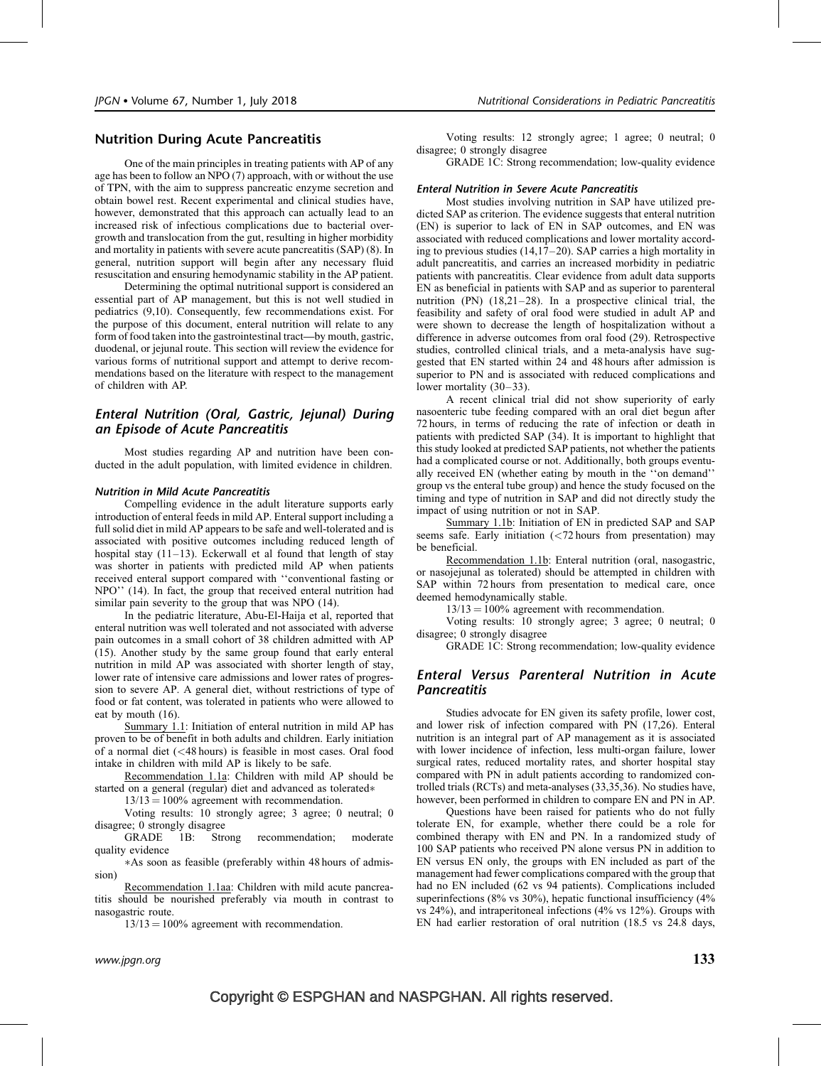# Nutrition During Acute Pancreatitis

One of the main principles in treating patients with AP of any age has been to follow an NPO (7) approach, with or without the use of TPN, with the aim to suppress pancreatic enzyme secretion and obtain bowel rest. Recent experimental and clinical studies have, however, demonstrated that this approach can actually lead to an increased risk of infectious complications due to bacterial overgrowth and translocation from the gut, resulting in higher morbidity and mortality in patients with severe acute pancreatitis (SAP) (8). In general, nutrition support will begin after any necessary fluid resuscitation and ensuring hemodynamic stability in the AP patient.

Determining the optimal nutritional support is considered an essential part of AP management, but this is not well studied in pediatrics (9,10). Consequently, few recommendations exist. For the purpose of this document, enteral nutrition will relate to any form of food taken into the gastrointestinal tract—by mouth, gastric, duodenal, or jejunal route. This section will review the evidence for various forms of nutritional support and attempt to derive recommendations based on the literature with respect to the management of children with AP.

# Enteral Nutrition (Oral, Gastric, Jejunal) During an Episode of Acute Pancreatitis

Most studies regarding AP and nutrition have been conducted in the adult population, with limited evidence in children.

#### Nutrition in Mild Acute Pancreatitis

Compelling evidence in the adult literature supports early introduction of enteral feeds in mild AP. Enteral support including a full solid diet in mild AP appears to be safe and well-tolerated and is associated with positive outcomes including reduced length of hospital stay  $(11-13)$ . Eckerwall et al found that length of stay was shorter in patients with predicted mild AP when patients received enteral support compared with ''conventional fasting or NPO'' (14). In fact, the group that received enteral nutrition had similar pain severity to the group that was NPO (14).

In the pediatric literature, Abu-El-Haija et al, reported that enteral nutrition was well tolerated and not associated with adverse pain outcomes in a small cohort of 38 children admitted with AP (15). Another study by the same group found that early enteral nutrition in mild AP was associated with shorter length of stay, lower rate of intensive care admissions and lower rates of progression to severe AP. A general diet, without restrictions of type of food or fat content, was tolerated in patients who were allowed to eat by mouth (16).

Summary 1.1: Initiation of enteral nutrition in mild AP has proven to be of benefit in both adults and children. Early initiation of a normal diet (<48 hours) is feasible in most cases. Oral food intake in children with mild AP is likely to be safe.

Recommendation 1.1a: Children with mild AP should be started on a general (regular) diet and advanced as tolerated\*

 $13/13 = 100\%$  agreement with recommendation.

Voting results: 10 strongly agree; 3 agree; 0 neutral; 0 disagree; 0 strongly disagree

GRADE 1B: Strong recommendation; moderate quality evidence

-As soon as feasible (preferably within 48 hours of admission)

Recommendation 1.1aa: Children with mild acute pancreatitis should be nourished preferably via mouth in contrast to nasogastric route.

 $13/13 = 100\%$  agreement with recommendation.

Voting results: 12 strongly agree; 1 agree; 0 neutral; 0 disagree; 0 strongly disagree

GRADE 1C: Strong recommendation; low-quality evidence

#### Enteral Nutrition in Severe Acute Pancreatitis

Most studies involving nutrition in SAP have utilized predicted SAP as criterion. The evidence suggests that enteral nutrition (EN) is superior to lack of EN in SAP outcomes, and EN was associated with reduced complications and lower mortality according to previous studies (14,17–20). SAP carries a high mortality in adult pancreatitis, and carries an increased morbidity in pediatric patients with pancreatitis. Clear evidence from adult data supports EN as beneficial in patients with SAP and as superior to parenteral nutrition (PN) (18,21–28). In a prospective clinical trial, the feasibility and safety of oral food were studied in adult AP and were shown to decrease the length of hospitalization without a difference in adverse outcomes from oral food (29). Retrospective studies, controlled clinical trials, and a meta-analysis have suggested that EN started within 24 and 48 hours after admission is superior to PN and is associated with reduced complications and lower mortality (30–33).

A recent clinical trial did not show superiority of early nasoenteric tube feeding compared with an oral diet begun after 72 hours, in terms of reducing the rate of infection or death in patients with predicted SAP (34). It is important to highlight that this study looked at predicted SAP patients, not whether the patients had a complicated course or not. Additionally, both groups eventually received EN (whether eating by mouth in the ''on demand'' group vs the enteral tube group) and hence the study focused on the timing and type of nutrition in SAP and did not directly study the impact of using nutrition or not in SAP.

Summary 1.1b: Initiation of EN in predicted SAP and SAP seems safe. Early initiation  $\left( \frac{2}{2} \right)$  hours from presentation) may be beneficial.

Recommendation 1.1b: Enteral nutrition (oral, nasogastric, or nasojejunal as tolerated) should be attempted in children with SAP within 72 hours from presentation to medical care, once deemed hemodynamically stable.

 $13/13 = 100\%$  agreement with recommendation.

Voting results: 10 strongly agree; 3 agree; 0 neutral; 0 disagree; 0 strongly disagree

GRADE 1C: Strong recommendation; low-quality evidence

## Enteral Versus Parenteral Nutrition in Acute **Pancreatitis**

Studies advocate for EN given its safety profile, lower cost, and lower risk of infection compared with PN (17,26). Enteral nutrition is an integral part of AP management as it is associated with lower incidence of infection, less multi-organ failure, lower surgical rates, reduced mortality rates, and shorter hospital stay compared with PN in adult patients according to randomized controlled trials (RCTs) and meta-analyses (33,35,36). No studies have, however, been performed in children to compare EN and PN in AP.

Questions have been raised for patients who do not fully tolerate EN, for example, whether there could be a role for combined therapy with EN and PN. In a randomized study of 100 SAP patients who received PN alone versus PN in addition to EN versus EN only, the groups with EN included as part of the management had fewer complications compared with the group that had no EN included (62 vs 94 patients). Complications included superinfections (8% vs 30%), hepatic functional insufficiency (4% vs 24%), and intraperitoneal infections (4% vs 12%). Groups with EN had earlier restoration of oral nutrition (18.5 vs 24.8 days,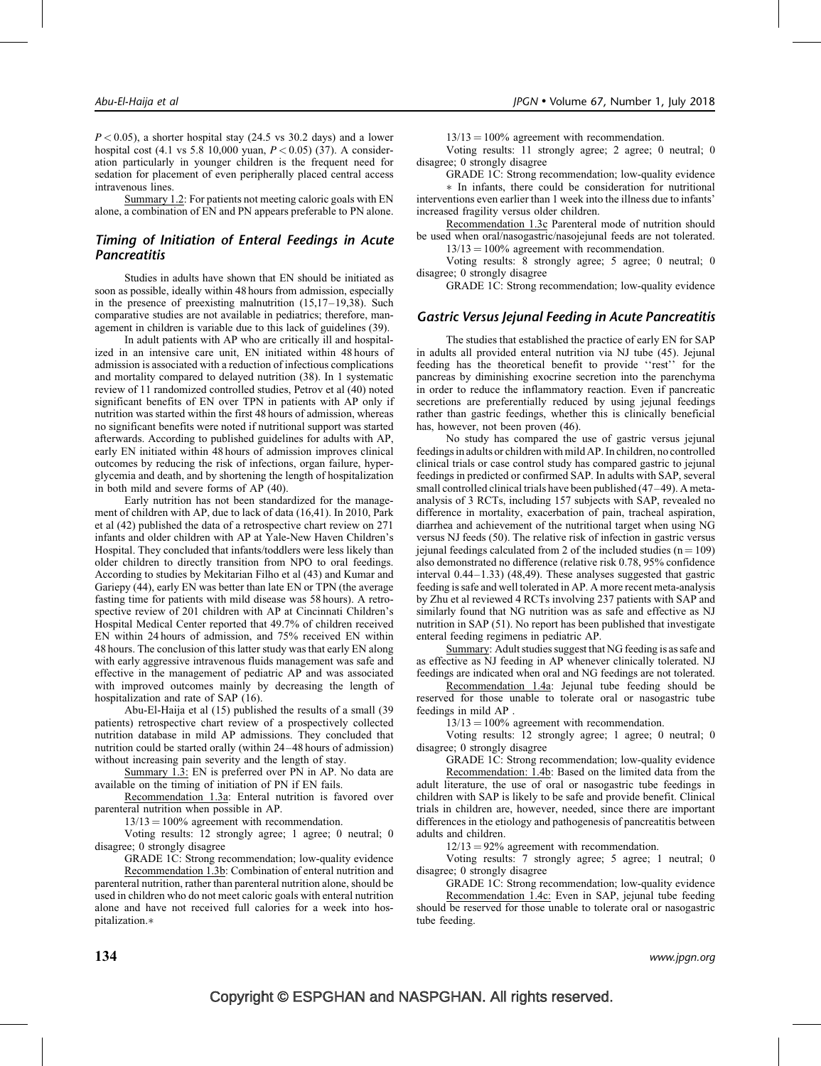$P < 0.05$ ), a shorter hospital stay (24.5 vs 30.2 days) and a lower hospital cost (4.1 vs 5.8 10,000 yuan,  $P < 0.05$ ) (37). A consideration particularly in younger children is the frequent need for sedation for placement of even peripherally placed central access intravenous lines.

Summary 1.2: For patients not meeting caloric goals with EN alone, a combination of EN and PN appears preferable to PN alone.

# Timing of Initiation of Enteral Feedings in Acute **Pancreatitis**

Studies in adults have shown that EN should be initiated as soon as possible, ideally within 48 hours from admission, especially in the presence of preexisting malnutrition (15,17–19,38). Such comparative studies are not available in pediatrics; therefore, management in children is variable due to this lack of guidelines (39).

In adult patients with AP who are critically ill and hospitalized in an intensive care unit, EN initiated within 48 hours of admission is associated with a reduction of infectious complications and mortality compared to delayed nutrition (38). In 1 systematic review of 11 randomized controlled studies, Petrov et al (40) noted significant benefits of EN over TPN in patients with AP only if nutrition was started within the first 48 hours of admission, whereas no significant benefits were noted if nutritional support was started afterwards. According to published guidelines for adults with AP, early EN initiated within 48 hours of admission improves clinical outcomes by reducing the risk of infections, organ failure, hyperglycemia and death, and by shortening the length of hospitalization in both mild and severe forms of AP (40).

Early nutrition has not been standardized for the management of children with AP, due to lack of data (16,41). In 2010, Park et al (42) published the data of a retrospective chart review on 271 infants and older children with AP at Yale-New Haven Children's Hospital. They concluded that infants/toddlers were less likely than older children to directly transition from NPO to oral feedings. According to studies by Mekitarian Filho et al (43) and Kumar and Gariepy (44), early EN was better than late EN or TPN (the average fasting time for patients with mild disease was 58 hours). A retrospective review of 201 children with AP at Cincinnati Children's Hospital Medical Center reported that 49.7% of children received EN within 24 hours of admission, and 75% received EN within 48 hours. The conclusion of this latter study was that early EN along with early aggressive intravenous fluids management was safe and effective in the management of pediatric AP and was associated with improved outcomes mainly by decreasing the length of hospitalization and rate of SAP (16).

Abu-El-Haija et al (15) published the results of a small (39 patients) retrospective chart review of a prospectively collected nutrition database in mild AP admissions. They concluded that nutrition could be started orally (within 24–48 hours of admission) without increasing pain severity and the length of stay.

Summary 1.3: EN is preferred over PN in AP. No data are available on the timing of initiation of PN if EN fails.

Recommendation 1.3a: Enteral nutrition is favored over parenteral nutrition when possible in AP.

 $13/13 = 100\%$  agreement with recommendation.

Voting results: 12 strongly agree; 1 agree; 0 neutral; 0 disagree; 0 strongly disagree

GRADE 1C: Strong recommendation; low-quality evidence Recommendation 1.3b: Combination of enteral nutrition and parenteral nutrition, rather than parenteral nutrition alone, should be used in children who do not meet caloric goals with enteral nutrition alone and have not received full calories for a week into hospitalization.\*

 $13/13 = 100\%$  agreement with recommendation.

Voting results: 11 strongly agree; 2 agree; 0 neutral; 0 disagree; 0 strongly disagree

GRADE 1C: Strong recommendation; low-quality evidence

- In infants, there could be consideration for nutritional interventions even earlier than 1 week into the illness due to infants' increased fragility versus older children.

Recommendation 1.3c Parenteral mode of nutrition should be used when oral/nasogastric/nasojejunal feeds are not tolerated.  $13/13 = 100\%$  agreement with recommendation.

Voting results: 8 strongly agree; 5 agree; 0 neutral; 0 disagree; 0 strongly disagree

GRADE 1C: Strong recommendation; low-quality evidence

#### Gastric Versus Jejunal Feeding in Acute Pancreatitis

The studies that established the practice of early EN for SAP in adults all provided enteral nutrition via NJ tube (45). Jejunal feeding has the theoretical benefit to provide ''rest'' for the pancreas by diminishing exocrine secretion into the parenchyma in order to reduce the inflammatory reaction. Even if pancreatic secretions are preferentially reduced by using jejunal feedings rather than gastric feedings, whether this is clinically beneficial has, however, not been proven (46).

No study has compared the use of gastric versus jejunal feedings in adults or children with mild AP. In children, no controlled clinical trials or case control study has compared gastric to jejunal feedings in predicted or confirmed SAP. In adults with SAP, several small controlled clinical trials have been published (47–49). A metaanalysis of 3 RCTs, including 157 subjects with SAP, revealed no difference in mortality, exacerbation of pain, tracheal aspiration, diarrhea and achievement of the nutritional target when using NG versus NJ feeds (50). The relative risk of infection in gastric versus jejunal feedings calculated from 2 of the included studies  $(n = 109)$ also demonstrated no difference (relative risk 0.78, 95% confidence interval 0.44–1.33) (48,49). These analyses suggested that gastric feeding is safe and well tolerated in AP. A more recent meta-analysis by Zhu et al reviewed 4 RCTs involving 237 patients with SAP and similarly found that NG nutrition was as safe and effective as NJ nutrition in SAP (51). No report has been published that investigate enteral feeding regimens in pediatric AP.

Summary: Adult studies suggest that NG feeding is as safe and as effective as NJ feeding in AP whenever clinically tolerated. NJ feedings are indicated when oral and NG feedings are not tolerated.

Recommendation 1.4a: Jejunal tube feeding should be reserved for those unable to tolerate oral or nasogastric tube feedings in mild AP .

 $13/13 = 100\%$  agreement with recommendation.

Voting results: 12 strongly agree; 1 agree; 0 neutral; 0 disagree; 0 strongly disagree

GRADE 1C: Strong recommendation; low-quality evidence Recommendation: 1.4b: Based on the limited data from the adult literature, the use of oral or nasogastric tube feedings in children with SAP is likely to be safe and provide benefit. Clinical trials in children are, however, needed, since there are important differences in the etiology and pathogenesis of pancreatitis between adults and children.

 $12/13 = 92\%$  agreement with recommendation.

Voting results: 7 strongly agree; 5 agree; 1 neutral; 0 disagree; 0 strongly disagree

GRADE 1C: Strong recommendation; low-quality evidence

Recommendation 1.4c: Even in SAP, jejunal tube feeding should be reserved for those unable to tolerate oral or nasogastric tube feeding.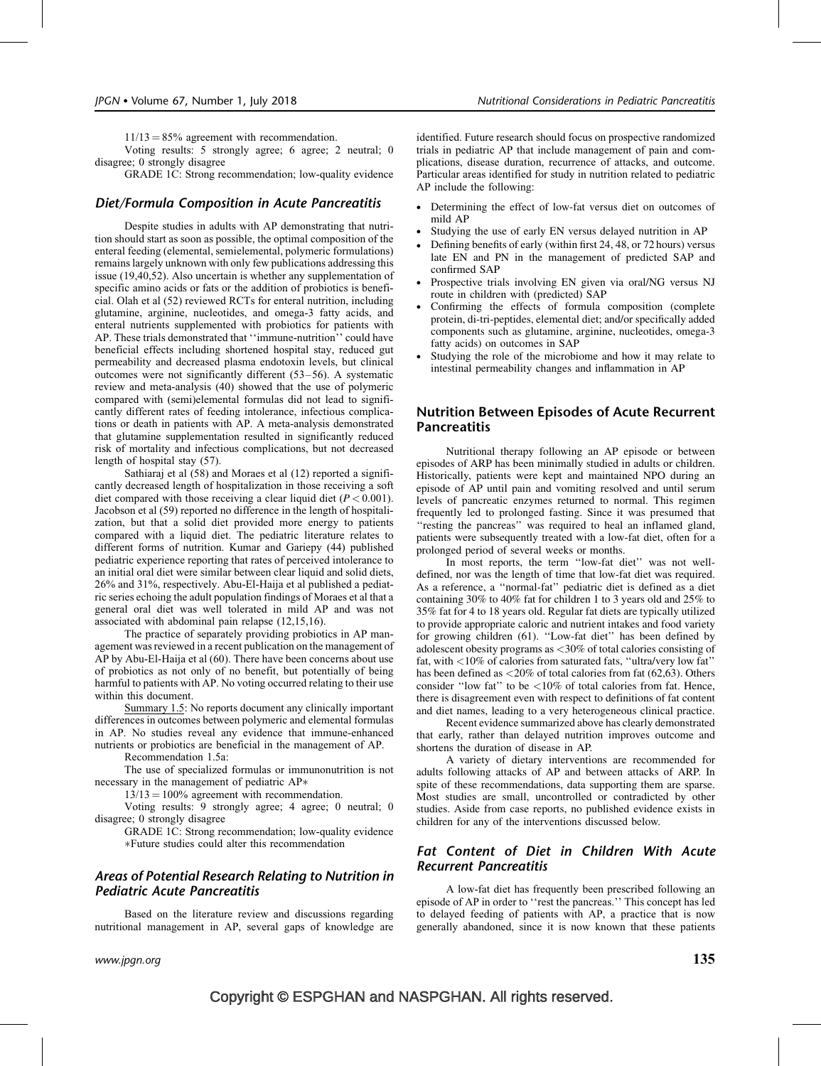$11/13 = 85%$  agreement with recommendation.

Voting results: 5 strongly agree; 6 agree; 2 neutral; 0 disagree; 0 strongly disagree

GRADE 1C: Strong recommendation; low-quality evidence

## Diet/Formula Composition in Acute Pancreatitis

Despite studies in adults with AP demonstrating that nutrition should start as soon as possible, the optimal composition of the enteral feeding (elemental, semielemental, polymeric formulations) remains largely unknown with only few publications addressing this issue (19,40,52). Also uncertain is whether any supplementation of specific amino acids or fats or the addition of probiotics is beneficial. Olah et al (52) reviewed RCTs for enteral nutrition, including glutamine, arginine, nucleotides, and omega-3 fatty acids, and enteral nutrients supplemented with probiotics for patients with AP. These trials demonstrated that ''immune-nutrition'' could have beneficial effects including shortened hospital stay, reduced gut permeability and decreased plasma endotoxin levels, but clinical outcomes were not significantly different (53–56). A systematic review and meta-analysis (40) showed that the use of polymeric compared with (semi)elemental formulas did not lead to significantly different rates of feeding intolerance, infectious complications or death in patients with AP. A meta-analysis demonstrated that glutamine supplementation resulted in significantly reduced risk of mortality and infectious complications, but not decreased length of hospital stay (57).

Sathiaraj et al (58) and Moraes et al (12) reported a significantly decreased length of hospitalization in those receiving a soft diet compared with those receiving a clear liquid diet ( $P < 0.001$ ). Jacobson et al (59) reported no difference in the length of hospitalization, but that a solid diet provided more energy to patients compared with a liquid diet. The pediatric literature relates to different forms of nutrition. Kumar and Gariepy (44) published pediatric experience reporting that rates of perceived intolerance to an initial oral diet were similar between clear liquid and solid diets, 26% and 31%, respectively. Abu-El-Haija et al published a pediatric series echoing the adult population findings of Moraes et al that a general oral diet was well tolerated in mild AP and was not associated with abdominal pain relapse (12,15,16).

The practice of separately providing probiotics in AP management was reviewed in a recent publication on the management of AP by Abu-El-Haija et al (60). There have been concerns about use of probiotics as not only of no benefit, but potentially of being harmful to patients with AP. No voting occurred relating to their use within this document.

Summary 1.5: No reports document any clinically important differences in outcomes between polymeric and elemental formulas in AP. No studies reveal any evidence that immune-enhanced nutrients or probiotics are beneficial in the management of AP.

Recommendation 1.5a:

The use of specialized formulas or immunonutrition is not necessary in the management of pediatric AP\*

 $13/13 = 100\%$  agreement with recommendation.

Voting results: 9 strongly agree; 4 agree; 0 neutral; 0 disagree; 0 strongly disagree

GRADE 1C: Strong recommendation; low-quality evidence -Future studies could alter this recommendation

# Areas of Potential Research Relating to Nutrition in Pediatric Acute Pancreatitis

Based on the literature review and discussions regarding nutritional management in AP, several gaps of knowledge are

identified. Future research should focus on prospective randomized trials in pediatric AP that include management of pain and complications, disease duration, recurrence of attacks, and outcome. Particular areas identified for study in nutrition related to pediatric AP include the following:

- Determining the effect of low-fat versus diet on outcomes of mild AP
- Studying the use of early EN versus delayed nutrition in AP
- Defining benefits of early (within first 24, 48, or 72 hours) versus late EN and PN in the management of predicted SAP and confirmed SAP
- Prospective trials involving EN given via oral/NG versus NJ route in children with (predicted) SAP
- Confirming the effects of formula composition (complete protein, di-tri-peptides, elemental diet; and/or specifically added components such as glutamine, arginine, nucleotides, omega-3 fatty acids) on outcomes in SAP
- Studying the role of the microbiome and how it may relate to intestinal permeability changes and inflammation in AP

## Nutrition Between Episodes of Acute Recurrent Pancreatitis

Nutritional therapy following an AP episode or between episodes of ARP has been minimally studied in adults or children. Historically, patients were kept and maintained NPO during an episode of AP until pain and vomiting resolved and until serum levels of pancreatic enzymes returned to normal. This regimen frequently led to prolonged fasting. Since it was presumed that ''resting the pancreas'' was required to heal an inflamed gland, patients were subsequently treated with a low-fat diet, often for a prolonged period of several weeks or months.

In most reports, the term "low-fat diet" was not welldefined, nor was the length of time that low-fat diet was required. As a reference, a ''normal-fat'' pediatric diet is defined as a diet containing 30% to 40% fat for children 1 to 3 years old and 25% to 35% fat for 4 to 18 years old. Regular fat diets are typically utilized to provide appropriate caloric and nutrient intakes and food variety for growing children (61). ''Low-fat diet'' has been defined by adolescent obesity programs as <30% of total calories consisting of fat, with <10% of calories from saturated fats, ''ultra/very low fat'' has been defined as <20% of total calories from fat (62,63). Others consider ''low fat'' to be <10% of total calories from fat. Hence, there is disagreement even with respect to definitions of fat content and diet names, leading to a very heterogeneous clinical practice.

Recent evidence summarized above has clearly demonstrated that early, rather than delayed nutrition improves outcome and shortens the duration of disease in AP.

A variety of dietary interventions are recommended for adults following attacks of AP and between attacks of ARP. In spite of these recommendations, data supporting them are sparse. Most studies are small, uncontrolled or contradicted by other studies. Aside from case reports, no published evidence exists in children for any of the interventions discussed below.

## Fat Content of Diet in Children With Acute Recurrent Pancreatitis

A low-fat diet has frequently been prescribed following an episode of AP in order to ''rest the pancreas.'' This concept has led to delayed feeding of patients with AP, a practice that is now generally abandoned, since it is now known that these patients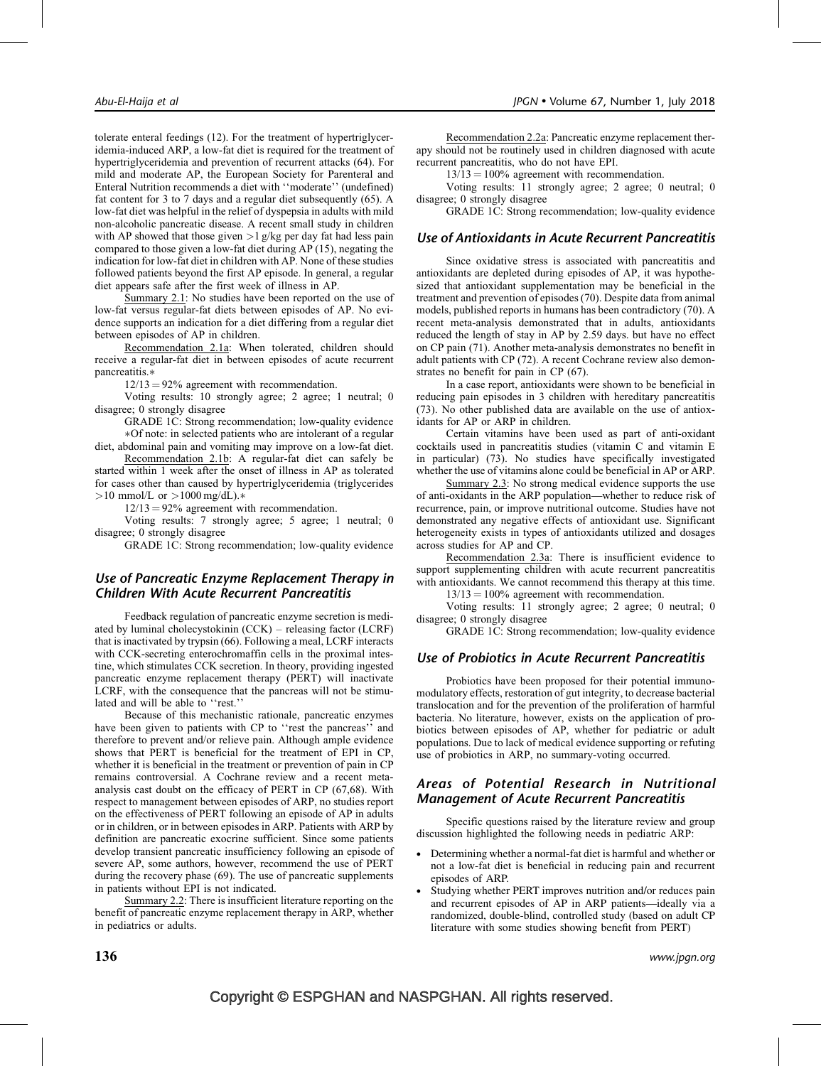tolerate enteral feedings (12). For the treatment of hypertriglyceridemia-induced ARP, a low-fat diet is required for the treatment of hypertriglyceridemia and prevention of recurrent attacks (64). For mild and moderate AP, the European Society for Parenteral and Enteral Nutrition recommends a diet with ''moderate'' (undefined) fat content for 3 to 7 days and a regular diet subsequently (65). A low-fat diet was helpful in the relief of dyspepsia in adults with mild non-alcoholic pancreatic disease. A recent small study in children with AP showed that those given  $>1$  g/kg per day fat had less pain compared to those given a low-fat diet during AP (15), negating the indication for low-fat diet in children with AP. None of these studies followed patients beyond the first AP episode. In general, a regular diet appears safe after the first week of illness in AP.

Summary 2.1: No studies have been reported on the use of low-fat versus regular-fat diets between episodes of AP. No evidence supports an indication for a diet differing from a regular diet between episodes of AP in children.

Recommendation 2.1a: When tolerated, children should receive a regular-fat diet in between episodes of acute recurrent pancreatitis.\*

 $12/13 = 92\%$  agreement with recommendation.

Voting results: 10 strongly agree; 2 agree; 1 neutral; 0 disagree; 0 strongly disagree

GRADE 1C: Strong recommendation; low-quality evidence -Of note: in selected patients who are intolerant of a regular diet, abdominal pain and vomiting may improve on a low-fat diet.

Recommendation 2.1b: A regular-fat diet can safely be started within 1 week after the onset of illness in AP as tolerated for cases other than caused by hypertriglyceridemia (triglycerides  $>10$  mmol/L or  $>1000$  mg/dL).\*

 $12/13 = 92\%$  agreement with recommendation.

Voting results: 7 strongly agree; 5 agree; 1 neutral; 0 disagree; 0 strongly disagree

GRADE 1C: Strong recommendation; low-quality evidence

# Use of Pancreatic Enzyme Replacement Therapy in Children With Acute Recurrent Pancreatitis

Feedback regulation of pancreatic enzyme secretion is mediated by luminal cholecystokinin (CCK) – releasing factor (LCRF) that is inactivated by trypsin (66). Following a meal, LCRF interacts with CCK-secreting enterochromaffin cells in the proximal intestine, which stimulates CCK secretion. In theory, providing ingested pancreatic enzyme replacement therapy (PERT) will inactivate LCRF, with the consequence that the pancreas will not be stimulated and will be able to ''rest.''

Because of this mechanistic rationale, pancreatic enzymes have been given to patients with CP to "rest the pancreas" and therefore to prevent and/or relieve pain. Although ample evidence shows that PERT is beneficial for the treatment of EPI in CP, whether it is beneficial in the treatment or prevention of pain in CP remains controversial. A Cochrane review and a recent metaanalysis cast doubt on the efficacy of PERT in CP (67,68). With respect to management between episodes of ARP, no studies report on the effectiveness of PERT following an episode of AP in adults or in children, or in between episodes in ARP. Patients with ARP by definition are pancreatic exocrine sufficient. Since some patients develop transient pancreatic insufficiency following an episode of severe AP, some authors, however, recommend the use of PERT during the recovery phase (69). The use of pancreatic supplements in patients without EPI is not indicated.

Summary 2.2: There is insufficient literature reporting on the benefit of pancreatic enzyme replacement therapy in ARP, whether in pediatrics or adults.

Recommendation 2.2a: Pancreatic enzyme replacement therapy should not be routinely used in children diagnosed with acute recurrent pancreatitis, who do not have EPI.

 $13/13 = 100\%$  agreement with recommendation.

Voting results: 11 strongly agree; 2 agree; 0 neutral; 0 disagree; 0 strongly disagree

GRADE 1C: Strong recommendation; low-quality evidence

## Use of Antioxidants in Acute Recurrent Pancreatitis

Since oxidative stress is associated with pancreatitis and antioxidants are depleted during episodes of AP, it was hypothesized that antioxidant supplementation may be beneficial in the treatment and prevention of episodes (70). Despite data from animal models, published reports in humans has been contradictory (70). A recent meta-analysis demonstrated that in adults, antioxidants reduced the length of stay in AP by 2.59 days. but have no effect on CP pain (71). Another meta-analysis demonstrates no benefit in adult patients with CP (72). A recent Cochrane review also demonstrates no benefit for pain in CP (67).

In a case report, antioxidants were shown to be beneficial in reducing pain episodes in 3 children with hereditary pancreatitis (73). No other published data are available on the use of antioxidants for AP or ARP in children.

Certain vitamins have been used as part of anti-oxidant cocktails used in pancreatitis studies (vitamin C and vitamin E in particular) (73). No studies have specifically investigated whether the use of vitamins alone could be beneficial in AP or ARP.

Summary 2.3: No strong medical evidence supports the use of anti-oxidants in the ARP population—whether to reduce risk of recurrence, pain, or improve nutritional outcome. Studies have not demonstrated any negative effects of antioxidant use. Significant heterogeneity exists in types of antioxidants utilized and dosages across studies for AP and CP.

Recommendation 2.3a: There is insufficient evidence to support supplementing children with acute recurrent pancreatitis with antioxidants. We cannot recommend this therapy at this time.  $13/13 = 100\%$  agreement with recommendation.

Voting results: 11 strongly agree; 2 agree; 0 neutral; 0 disagree; 0 strongly disagree

GRADE 1C: Strong recommendation; low-quality evidence

# Use of Probiotics in Acute Recurrent Pancreatitis

Probiotics have been proposed for their potential immunomodulatory effects, restoration of gut integrity, to decrease bacterial translocation and for the prevention of the proliferation of harmful bacteria. No literature, however, exists on the application of probiotics between episodes of AP, whether for pediatric or adult populations. Due to lack of medical evidence supporting or refuting use of probiotics in ARP, no summary-voting occurred.

# Areas of Potential Research in Nutritional Management of Acute Recurrent Pancreatitis

Specific questions raised by the literature review and group discussion highlighted the following needs in pediatric ARP:

- Determining whether a normal-fat diet is harmful and whether or not a low-fat diet is beneficial in reducing pain and recurrent episodes of ARP.
- Studying whether PERT improves nutrition and/or reduces pain and recurrent episodes of AP in ARP patients—ideally via a randomized, double-blind, controlled study (based on adult CP literature with some studies showing benefit from PERT)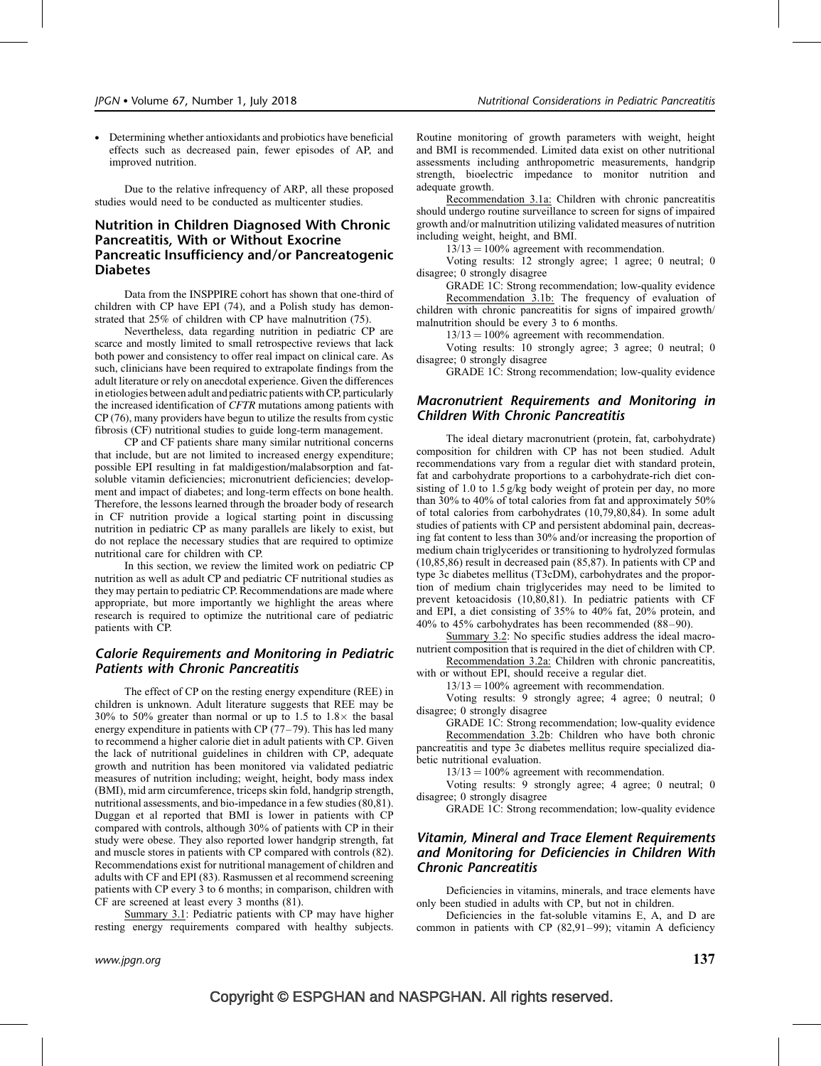Determining whether antioxidants and probiotics have beneficial effects such as decreased pain, fewer episodes of AP, and improved nutrition.

Due to the relative infrequency of ARP, all these proposed studies would need to be conducted as multicenter studies.

# Nutrition in Children Diagnosed With Chronic Pancreatitis, With or Without Exocrine Pancreatic Insufficiency and/or Pancreatogenic **Diabetes**

Data from the INSPPIRE cohort has shown that one-third of children with CP have EPI (74), and a Polish study has demonstrated that 25% of children with CP have malnutrition (75).

Nevertheless, data regarding nutrition in pediatric CP are scarce and mostly limited to small retrospective reviews that lack both power and consistency to offer real impact on clinical care. As such, clinicians have been required to extrapolate findings from the adult literature or rely on anecdotal experience. Given the differences in etiologies between adult and pediatric patients with CP, particularly the increased identification of CFTR mutations among patients with CP (76), many providers have begun to utilize the results from cystic fibrosis (CF) nutritional studies to guide long-term management.

CP and CF patients share many similar nutritional concerns that include, but are not limited to increased energy expenditure; possible EPI resulting in fat maldigestion/malabsorption and fatsoluble vitamin deficiencies; micronutrient deficiencies; development and impact of diabetes; and long-term effects on bone health. Therefore, the lessons learned through the broader body of research in CF nutrition provide a logical starting point in discussing nutrition in pediatric CP as many parallels are likely to exist, but do not replace the necessary studies that are required to optimize nutritional care for children with CP.

In this section, we review the limited work on pediatric CP nutrition as well as adult CP and pediatric CF nutritional studies as they may pertain to pediatric CP. Recommendations are made where appropriate, but more importantly we highlight the areas where research is required to optimize the nutritional care of pediatric patients with CP.

# Calorie Requirements and Monitoring in Pediatric Patients with Chronic Pancreatitis

The effect of CP on the resting energy expenditure (REE) in children is unknown. Adult literature suggests that REE may be 30% to 50% greater than normal or up to 1.5 to  $1.8\times$  the basal energy expenditure in patients with  $CP(77-79)$ . This has led many to recommend a higher calorie diet in adult patients with CP. Given the lack of nutritional guidelines in children with CP, adequate growth and nutrition has been monitored via validated pediatric measures of nutrition including; weight, height, body mass index (BMI), mid arm circumference, triceps skin fold, handgrip strength, nutritional assessments, and bio-impedance in a few studies (80,81). Duggan et al reported that BMI is lower in patients with CP compared with controls, although 30% of patients with CP in their study were obese. They also reported lower handgrip strength, fat and muscle stores in patients with CP compared with controls (82). Recommendations exist for nutritional management of children and adults with CF and EPI (83). Rasmussen et al recommend screening patients with CP every 3 to 6 months; in comparison, children with CF are screened at least every 3 months (81).

Summary 3.1: Pediatric patients with CP may have higher resting energy requirements compared with healthy subjects.

Routine monitoring of growth parameters with weight, height and BMI is recommended. Limited data exist on other nutritional assessments including anthropometric measurements, handgrip strength, bioelectric impedance to monitor nutrition and adequate growth.

Recommendation 3.1a: Children with chronic pancreatitis should undergo routine surveillance to screen for signs of impaired growth and/or malnutrition utilizing validated measures of nutrition including weight, height, and BMI.

 $13/13 = 100\%$  agreement with recommendation.

Voting results: 12 strongly agree; 1 agree; 0 neutral; 0 disagree; 0 strongly disagree

GRADE 1C: Strong recommendation; low-quality evidence Recommendation 3.1b: The frequency of evaluation of children with chronic pancreatitis for signs of impaired growth/ malnutrition should be every 3 to 6 months.

 $13/13 = 100\%$  agreement with recommendation.

Voting results: 10 strongly agree; 3 agree; 0 neutral; 0 disagree; 0 strongly disagree

GRADE 1C: Strong recommendation; low-quality evidence

## Macronutrient Requirements and Monitoring in Children With Chronic Pancreatitis

The ideal dietary macronutrient (protein, fat, carbohydrate) composition for children with CP has not been studied. Adult recommendations vary from a regular diet with standard protein, fat and carbohydrate proportions to a carbohydrate-rich diet consisting of 1.0 to 1.5 g/kg body weight of protein per day, no more than 30% to 40% of total calories from fat and approximately 50% of total calories from carbohydrates (10,79,80,84). In some adult studies of patients with CP and persistent abdominal pain, decreasing fat content to less than 30% and/or increasing the proportion of medium chain triglycerides or transitioning to hydrolyzed formulas (10,85,86) result in decreased pain (85,87). In patients with CP and type 3c diabetes mellitus (T3cDM), carbohydrates and the proportion of medium chain triglycerides may need to be limited to prevent ketoacidosis (10,80,81). In pediatric patients with CF and EPI, a diet consisting of 35% to 40% fat, 20% protein, and 40% to 45% carbohydrates has been recommended (88–90).

Summary 3.2: No specific studies address the ideal macronutrient composition that is required in the diet of children with CP.

Recommendation 3.2a: Children with chronic pancreatitis, with or without EPI, should receive a regular diet.

 $13/13 = 100\%$  agreement with recommendation.

Voting results: 9 strongly agree; 4 agree; 0 neutral; 0 disagree; 0 strongly disagree

GRADE 1C: Strong recommendation; low-quality evidence Recommendation 3.2b: Children who have both chronic pancreatitis and type 3c diabetes mellitus require specialized diabetic nutritional evaluation.

 $13/13 = 100\%$  agreement with recommendation.

Voting results: 9 strongly agree; 4 agree; 0 neutral; 0 disagree; 0 strongly disagree

GRADE 1C: Strong recommendation; low-quality evidence

# Vitamin, Mineral and Trace Element Requirements and Monitoring for Deficiencies in Children With Chronic Pancreatitis

Deficiencies in vitamins, minerals, and trace elements have only been studied in adults with CP, but not in children.

Deficiencies in the fat-soluble vitamins E, A, and D are common in patients with CP (82,91–99); vitamin A deficiency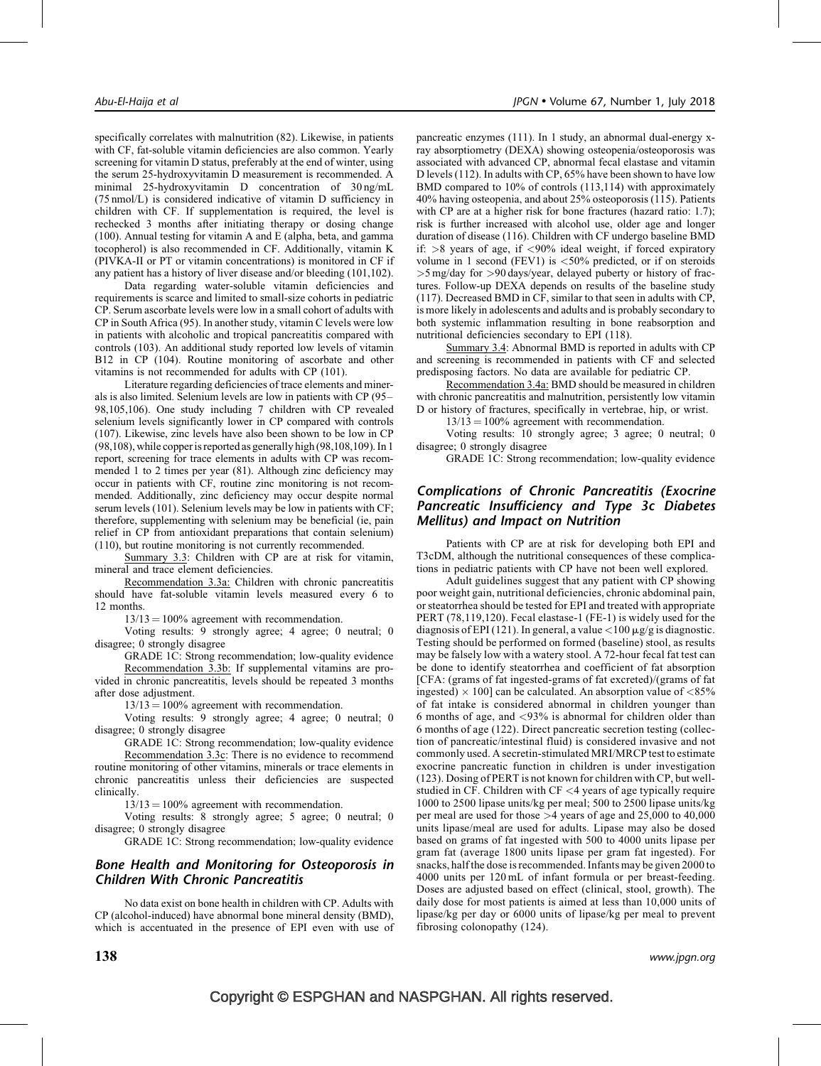specifically correlates with malnutrition (82). Likewise, in patients with CF, fat-soluble vitamin deficiencies are also common. Yearly screening for vitamin D status, preferably at the end of winter, using the serum 25-hydroxyvitamin D measurement is recommended. A minimal 25-hydroxyvitamin D concentration of 30 ng/mL (75 nmol/L) is considered indicative of vitamin D sufficiency in children with CF. If supplementation is required, the level is rechecked 3 months after initiating therapy or dosing change (100). Annual testing for vitamin A and E (alpha, beta, and gamma tocopherol) is also recommended in CF. Additionally, vitamin K (PIVKA-II or PT or vitamin concentrations) is monitored in CF if any patient has a history of liver disease and/or bleeding (101,102).

Data regarding water-soluble vitamin deficiencies and requirements is scarce and limited to small-size cohorts in pediatric CP. Serum ascorbate levels were low in a small cohort of adults with CP in South Africa (95). In another study, vitamin C levels were low in patients with alcoholic and tropical pancreatitis compared with controls (103). An additional study reported low levels of vitamin B12 in CP (104). Routine monitoring of ascorbate and other vitamins is not recommended for adults with CP (101).

Literature regarding deficiencies of trace elements and minerals is also limited. Selenium levels are low in patients with CP (95– 98,105,106). One study including 7 children with CP revealed selenium levels significantly lower in CP compared with controls (107). Likewise, zinc levels have also been shown to be low in CP (98,108), while copper is reported as generally high (98,108,109). In 1 report, screening for trace elements in adults with CP was recommended 1 to 2 times per year (81). Although zinc deficiency may occur in patients with CF, routine zinc monitoring is not recommended. Additionally, zinc deficiency may occur despite normal serum levels (101). Selenium levels may be low in patients with CF; therefore, supplementing with selenium may be beneficial (ie, pain relief in CP from antioxidant preparations that contain selenium) (110), but routine monitoring is not currently recommended.

Summary 3.3: Children with CP are at risk for vitamin, mineral and trace element deficiencies.

Recommendation 3.3a: Children with chronic pancreatitis should have fat-soluble vitamin levels measured every 6 to 12 months.

 $13/13 = 100\%$  agreement with recommendation.

Voting results: 9 strongly agree; 4 agree; 0 neutral; 0 disagree; 0 strongly disagree

GRADE 1C: Strong recommendation; low-quality evidence Recommendation 3.3b: If supplemental vitamins are provided in chronic pancreatitis, levels should be repeated 3 months after dose adjustment.

 $13/13 = 100\%$  agreement with recommendation.

Voting results: 9 strongly agree; 4 agree; 0 neutral; 0 disagree; 0 strongly disagree

GRADE 1C: Strong recommendation; low-quality evidence Recommendation 3.3c: There is no evidence to recommend routine monitoring of other vitamins, minerals or trace elements in chronic pancreatitis unless their deficiencies are suspected clinically.

 $13/13 = 100\%$  agreement with recommendation.

Voting results: 8 strongly agree; 5 agree; 0 neutral; 0 disagree; 0 strongly disagree

GRADE 1C: Strong recommendation; low-quality evidence

## Bone Health and Monitoring for Osteoporosis in Children With Chronic Pancreatitis

No data exist on bone health in children with CP. Adults with CP (alcohol-induced) have abnormal bone mineral density (BMD), which is accentuated in the presence of EPI even with use of pancreatic enzymes (111). In 1 study, an abnormal dual-energy xray absorptiometry (DEXA) showing osteopenia/osteoporosis was associated with advanced CP, abnormal fecal elastase and vitamin D levels (112). In adults with CP, 65% have been shown to have low BMD compared to 10% of controls (113,114) with approximately 40% having osteopenia, and about 25% osteoporosis (115). Patients with CP are at a higher risk for bone fractures (hazard ratio: 1.7); risk is further increased with alcohol use, older age and longer duration of disease (116). Children with CF undergo baseline BMD if:  $>8$  years of age, if  $<90\%$  ideal weight, if forced expiratory volume in 1 second (FEV1) is  $\langle 50\%$  predicted, or if on steroids >5 mg/day for >90 days/year, delayed puberty or history of fractures. Follow-up DEXA depends on results of the baseline study (117). Decreased BMD in CF, similar to that seen in adults with CP, is more likely in adolescents and adults and is probably secondary to both systemic inflammation resulting in bone reabsorption and nutritional deficiencies secondary to EPI (118).

Summary 3.4: Abnormal BMD is reported in adults with CP and screening is recommended in patients with CF and selected predisposing factors. No data are available for pediatric CP.

Recommendation 3.4a: BMD should be measured in children with chronic pancreatitis and malnutrition, persistently low vitamin D or history of fractures, specifically in vertebrae, hip, or wrist.

 $13/13 = 100\%$  agreement with recommendation.

Voting results: 10 strongly agree; 3 agree; 0 neutral; 0 disagree; 0 strongly disagree

GRADE 1C: Strong recommendation; low-quality evidence

# Complications of Chronic Pancreatitis (Exocrine Pancreatic Insufficiency and Type 3c Diabetes Mellitus) and Impact on Nutrition

Patients with CP are at risk for developing both EPI and T3cDM, although the nutritional consequences of these complications in pediatric patients with CP have not been well explored.

Adult guidelines suggest that any patient with CP showing poor weight gain, nutritional deficiencies, chronic abdominal pain, or steatorrhea should be tested for EPI and treated with appropriate PERT (78,119,120). Fecal elastase-1 (FE-1) is widely used for the diagnosis of EPI (121). In general, a value  $\langle 100 \mu$ g/g is diagnostic. Testing should be performed on formed (baseline) stool, as results may be falsely low with a watery stool. A 72-hour fecal fat test can be done to identify steatorrhea and coefficient of fat absorption [CFA: (grams of fat ingested-grams of fat excreted)/(grams of fat ingested)  $\times$  100] can be calculated. An absorption value of <85% of fat intake is considered abnormal in children younger than 6 months of age, and <93% is abnormal for children older than 6 months of age (122). Direct pancreatic secretion testing (collection of pancreatic/intestinal fluid) is considered invasive and not commonly used. A secretin-stimulated MRI/MRCP test to estimate exocrine pancreatic function in children is under investigation (123). Dosing of PERT is not known for children with CP, but wellstudied in CF. Children with CF <4 years of age typically require 1000 to 2500 lipase units/kg per meal; 500 to 2500 lipase units/kg per meal are used for those >4 years of age and 25,000 to 40,000 units lipase/meal are used for adults. Lipase may also be dosed based on grams of fat ingested with 500 to 4000 units lipase per gram fat (average 1800 units lipase per gram fat ingested). For snacks, half the dose is recommended. Infants may be given 2000 to 4000 units per 120 mL of infant formula or per breast-feeding. Doses are adjusted based on effect (clinical, stool, growth). The daily dose for most patients is aimed at less than 10,000 units of lipase/kg per day or 6000 units of lipase/kg per meal to prevent fibrosing colonopathy (124).

 $138$  www.jpgn.org www.jpgn.org www.jpgn.org www.jpgn.org www.jpgn.org www.jpgn.org  $\,$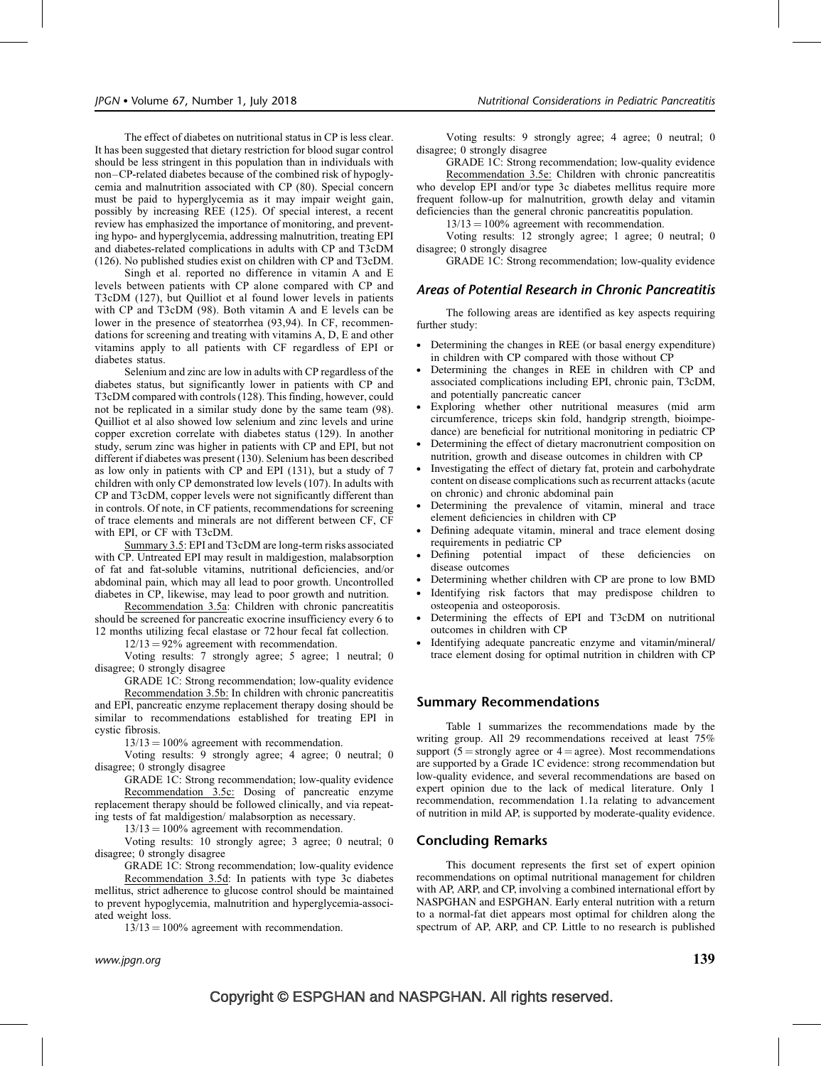The effect of diabetes on nutritional status in CP is less clear. It has been suggested that dietary restriction for blood sugar control should be less stringent in this population than in individuals with non–CP-related diabetes because of the combined risk of hypoglycemia and malnutrition associated with CP (80). Special concern must be paid to hyperglycemia as it may impair weight gain, possibly by increasing REE (125). Of special interest, a recent review has emphasized the importance of monitoring, and preventing hypo- and hyperglycemia, addressing malnutrition, treating EPI and diabetes-related complications in adults with CP and T3cDM (126). No published studies exist on children with CP and T3cDM.

Singh et al. reported no difference in vitamin A and E levels between patients with CP alone compared with CP and T3cDM (127), but Quilliot et al found lower levels in patients with CP and T3cDM (98). Both vitamin A and E levels can be lower in the presence of steatorrhea (93,94). In CF, recommendations for screening and treating with vitamins A, D, E and other vitamins apply to all patients with CF regardless of EPI or diabetes status.

Selenium and zinc are low in adults with CP regardless of the diabetes status, but significantly lower in patients with CP and T3cDM compared with controls (128). This finding, however, could not be replicated in a similar study done by the same team (98). Quilliot et al also showed low selenium and zinc levels and urine copper excretion correlate with diabetes status (129). In another study, serum zinc was higher in patients with CP and EPI, but not different if diabetes was present (130). Selenium has been described as low only in patients with CP and EPI (131), but a study of 7 children with only CP demonstrated low levels (107). In adults with CP and T3cDM, copper levels were not significantly different than in controls. Of note, in CF patients, recommendations for screening of trace elements and minerals are not different between CF, CF with EPI, or CF with T3cDM.

Summary 3.5: EPI and T3cDM are long-term risks associated with CP. Untreated EPI may result in maldigestion, malabsorption of fat and fat-soluble vitamins, nutritional deficiencies, and/or abdominal pain, which may all lead to poor growth. Uncontrolled diabetes in CP, likewise, may lead to poor growth and nutrition.

Recommendation 3.5a: Children with chronic pancreatitis should be screened for pancreatic exocrine insufficiency every 6 to 12 months utilizing fecal elastase or 72 hour fecal fat collection.

 $12/13 = 92\%$  agreement with recommendation.

Voting results: 7 strongly agree; 5 agree; 1 neutral; 0 disagree; 0 strongly disagree

GRADE 1C: Strong recommendation; low-quality evidence Recommendation 3.5b: In children with chronic pancreatitis and EPI, pancreatic enzyme replacement therapy dosing should be similar to recommendations established for treating EPI in cystic fibrosis.

 $13/13 = 100\%$  agreement with recommendation.

Voting results: 9 strongly agree; 4 agree; 0 neutral; 0 disagree; 0 strongly disagree

GRADE 1C: Strong recommendation; low-quality evidence Recommendation 3.5c: Dosing of pancreatic enzyme replacement therapy should be followed clinically, and via repeating tests of fat maldigestion/ malabsorption as necessary.

 $13/13 = 100\%$  agreement with recommendation.

Voting results: 10 strongly agree; 3 agree; 0 neutral; 0 disagree; 0 strongly disagree

GRADE 1C: Strong recommendation; low-quality evidence

Recommendation 3.5d: In patients with type 3c diabetes mellitus, strict adherence to glucose control should be maintained to prevent hypoglycemia, malnutrition and hyperglycemia-associated weight loss.

 $13/13 = 100\%$  agreement with recommendation.

Voting results: 9 strongly agree; 4 agree; 0 neutral; 0 disagree; 0 strongly disagree

GRADE 1C: Strong recommendation; low-quality evidence Recommendation 3.5e: Children with chronic pancreatitis who develop EPI and/or type 3c diabetes mellitus require more frequent follow-up for malnutrition, growth delay and vitamin deficiencies than the general chronic pancreatitis population.

 $13/13 = 100\%$  agreement with recommendation.

Voting results: 12 strongly agree; 1 agree; 0 neutral; 0 disagree; 0 strongly disagree

GRADE 1C: Strong recommendation; low-quality evidence

#### Areas of Potential Research in Chronic Pancreatitis

The following areas are identified as key aspects requiring further study:

- Determining the changes in REE (or basal energy expenditure) in children with CP compared with those without CP
- Determining the changes in REE in children with CP and associated complications including EPI, chronic pain, T3cDM, and potentially pancreatic cancer
- Exploring whether other nutritional measures (mid arm circumference, triceps skin fold, handgrip strength, bioimpedance) are beneficial for nutritional monitoring in pediatric CP
- Determining the effect of dietary macronutrient composition on nutrition, growth and disease outcomes in children with CP
- Investigating the effect of dietary fat, protein and carbohydrate content on disease complications such as recurrent attacks (acute on chronic) and chronic abdominal pain
- Determining the prevalence of vitamin, mineral and trace element deficiencies in children with CP
- Defining adequate vitamin, mineral and trace element dosing requirements in pediatric CP
- Defining potential impact of these deficiencies on disease outcomes
- Determining whether children with CP are prone to low BMD
- Identifying risk factors that may predispose children to osteopenia and osteoporosis.
- Determining the effects of EPI and T3cDM on nutritional outcomes in children with CP
- Identifying adequate pancreatic enzyme and vitamin/mineral/ trace element dosing for optimal nutrition in children with CP

#### Summary Recommendations

Table 1 summarizes the recommendations made by the writing group. All 29 recommendations received at least 75% support ( $5 =$ strongly agree or  $4 =$ agree). Most recommendations are supported by a Grade 1C evidence: strong recommendation but low-quality evidence, and several recommendations are based on expert opinion due to the lack of medical literature. Only 1 recommendation, recommendation 1.1a relating to advancement of nutrition in mild AP, is supported by moderate-quality evidence.

# Concluding Remarks

This document represents the first set of expert opinion recommendations on optimal nutritional management for children with AP, ARP, and CP, involving a combined international effort by NASPGHAN and ESPGHAN. Early enteral nutrition with a return to a normal-fat diet appears most optimal for children along the spectrum of AP, ARP, and CP. Little to no research is published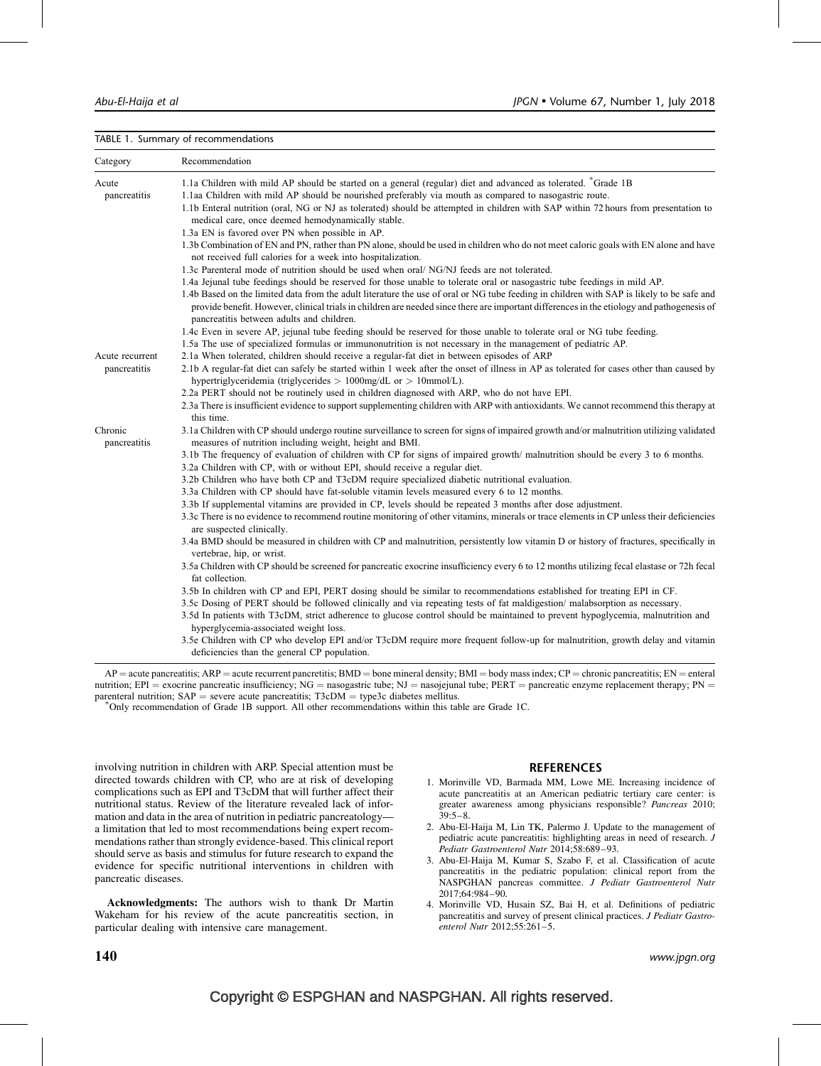#### TABLE 1. Summary of recommendations

| Category                                                 | Recommendation                                                                                                                                                                                                                                                                                                                                                                                                                                                                                                                                                                                                                                                               |
|----------------------------------------------------------|------------------------------------------------------------------------------------------------------------------------------------------------------------------------------------------------------------------------------------------------------------------------------------------------------------------------------------------------------------------------------------------------------------------------------------------------------------------------------------------------------------------------------------------------------------------------------------------------------------------------------------------------------------------------------|
| Acute<br>pancreatitis<br>Acute recurrent<br>pancreatitis | 1.1a Children with mild AP should be started on a general (regular) diet and advanced as tolerated. *Grade 1B<br>1.1aa Children with mild AP should be nourished preferably via mouth as compared to nasogastric route.<br>1.1b Enteral nutrition (oral, NG or NJ as tolerated) should be attempted in children with SAP within 72 hours from presentation to<br>medical care, once deemed hemodynamically stable.<br>1.3a EN is favored over PN when possible in AP.<br>1.3b Combination of EN and PN, rather than PN alone, should be used in children who do not meet caloric goals with EN alone and have<br>not received full calories for a week into hospitalization. |
|                                                          | 1.3c Parenteral mode of nutrition should be used when oral/ NG/NJ feeds are not tolerated.<br>1.4a Jejunal tube feedings should be reserved for those unable to tolerate oral or nasogastric tube feedings in mild AP.<br>1.4b Based on the limited data from the adult literature the use of oral or NG tube feeding in children with SAP is likely to be safe and<br>provide benefit. However, clinical trials in children are needed since there are important differences in the etiology and pathogenesis of<br>pancreatitis between adults and children.                                                                                                               |
|                                                          | 1.4c Even in severe AP, jejunal tube feeding should be reserved for those unable to tolerate oral or NG tube feeding.<br>1.5a The use of specialized formulas or immunonutrition is not necessary in the management of pediatric AP.                                                                                                                                                                                                                                                                                                                                                                                                                                         |
|                                                          | 2.1a When tolerated, children should receive a regular-fat diet in between episodes of ARP<br>2.1b A regular-fat diet can safely be started within 1 week after the onset of illness in AP as tolerated for cases other than caused by<br>hypertriglyceridemia (triglycerides $> 1000$ mg/dL or $> 10$ mmol/L).<br>2.2a PERT should not be routinely used in children diagnosed with ARP, who do not have EPI.                                                                                                                                                                                                                                                               |
|                                                          | 2.3a There is insufficient evidence to support supplementing children with ARP with antioxidants. We cannot recommend this therapy at<br>this time.                                                                                                                                                                                                                                                                                                                                                                                                                                                                                                                          |
| Chronic<br>pancreatitis                                  | 3.1a Children with CP should undergo routine surveillance to screen for signs of impaired growth and/or malnutrition utilizing validated<br>measures of nutrition including weight, height and BMI.                                                                                                                                                                                                                                                                                                                                                                                                                                                                          |
|                                                          | 3.1b The frequency of evaluation of children with CP for signs of impaired growth/malnutrition should be every 3 to 6 months.<br>3.2a Children with CP, with or without EPI, should receive a regular diet.                                                                                                                                                                                                                                                                                                                                                                                                                                                                  |
|                                                          | 3.2b Children who have both CP and T3cDM require specialized diabetic nutritional evaluation.<br>3.3a Children with CP should have fat-soluble vitamin levels measured every 6 to 12 months.                                                                                                                                                                                                                                                                                                                                                                                                                                                                                 |
|                                                          | 3.3b If supplemental vitamins are provided in CP, levels should be repeated 3 months after dose adjustment.<br>3.3c There is no evidence to recommend routine monitoring of other vitamins, minerals or trace elements in CP unless their deficiencies<br>are suspected clinically.                                                                                                                                                                                                                                                                                                                                                                                          |
|                                                          | 3.4a BMD should be measured in children with CP and malnutrition, persistently low vitamin D or history of fractures, specifically in<br>vertebrae, hip, or wrist.                                                                                                                                                                                                                                                                                                                                                                                                                                                                                                           |
|                                                          | 3.5a Children with CP should be screened for pancreatic exocrine insufficiency every 6 to 12 months utilizing fecal elastase or 72h fecal<br>fat collection.                                                                                                                                                                                                                                                                                                                                                                                                                                                                                                                 |
|                                                          | 3.5b In children with CP and EPI, PERT dosing should be similar to recommendations established for treating EPI in CF.<br>3.5c Dosing of PERT should be followed clinically and via repeating tests of fat maldigestion/malabsorption as necessary.<br>3.5d In patients with T3cDM, strict adherence to glucose control should be maintained to prevent hypoglycemia, malnutrition and<br>hyperglycemia-associated weight loss.                                                                                                                                                                                                                                              |
|                                                          | 3.5e Children with CP who develop EPI and/or T3cDM require more frequent follow-up for malnutrition, growth delay and vitamin<br>deficiencies than the general CP population.                                                                                                                                                                                                                                                                                                                                                                                                                                                                                                |

 $AP =$  acute pancreatitis;  $ARP =$  acute recurrent pancretitis;  $BMD =$  bone mineral density;  $BMI =$  body mass index;  $CP =$  chronic pancreatitis;  $EN =$  enteral nutrition; EPI = exocrine pancreatic insufficiency; NG = nasogastric tube; NJ = nasojejunal tube; PERT = pancreatic enzyme replacement therapy; PN = parenteral nutrition;  $SAP$  = severe acute pancreatitis; T3cDM = type3c diabetes mellitus.

Only recommendation of Grade 1B support. All other recommendations within this table are Grade 1C.

involving nutrition in children with ARP. Special attention must be directed towards children with CP, who are at risk of developing complications such as EPI and T3cDM that will further affect their nutritional status. Review of the literature revealed lack of information and data in the area of nutrition in pediatric pancreatology a limitation that led to most recommendations being expert recommendations rather than strongly evidence-based. This clinical report should serve as basis and stimulus for future research to expand the evidence for specific nutritional interventions in children with pancreatic diseases.

Acknowledgments: The authors wish to thank Dr Martin Wakeham for his review of the acute pancreatitis section, in particular dealing with intensive care management.

#### REFERENCES

- 1. Morinville VD, Barmada MM, Lowe ME. Increasing incidence of acute pancreatitis at an American pediatric tertiary care center: is greater awareness among physicians responsible? Pancreas 2010; 39:5–8.
- 2. Abu-El-Haija M, Lin TK, Palermo J. Update to the management of pediatric acute pancreatitis: highlighting areas in need of research. J Pediatr Gastroenterol Nutr 2014;58:689–93.
- 3. Abu-El-Haija M, Kumar S, Szabo F, et al. Classification of acute pancreatitis in the pediatric population: clinical report from the NASPGHAN pancreas committee. J Pediatr Gastroenterol Nutr 2017;64:984–90.
- 4. Morinville VD, Husain SZ, Bai H, et al. Definitions of pediatric pancreatitis and survey of present clinical practices. J Pediatr Gastroenterol Nutr 2012;55:261–5.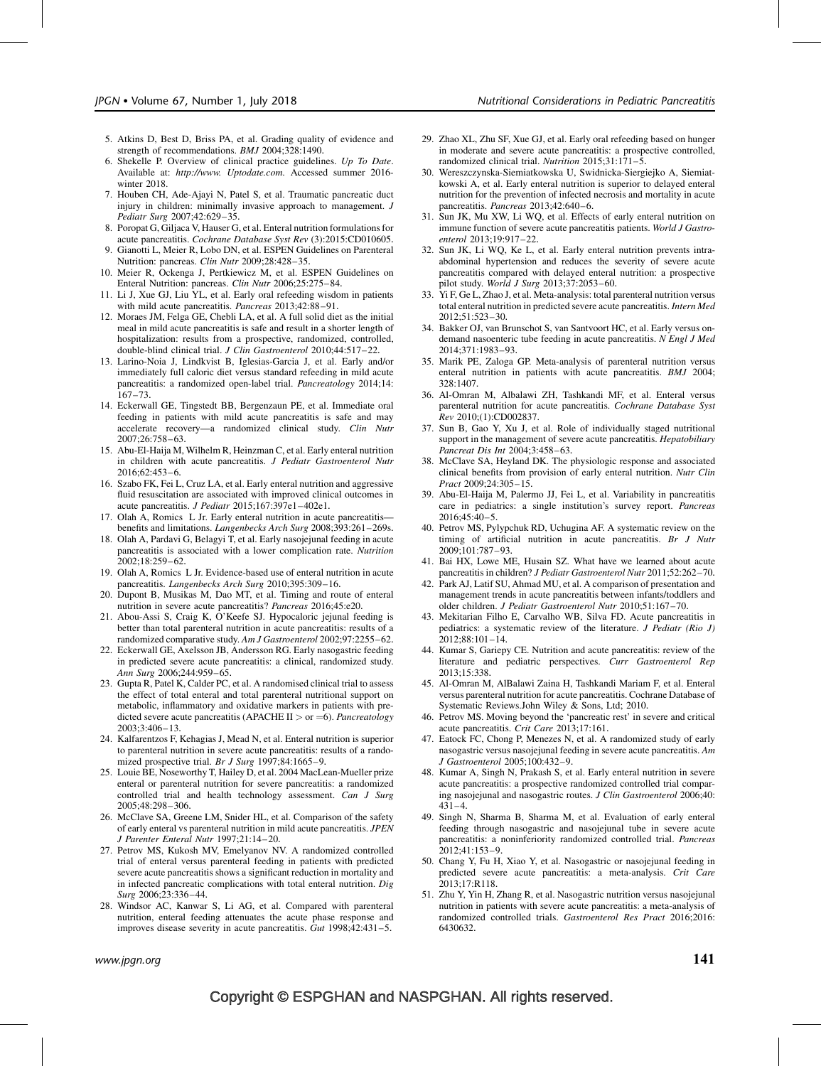- 5. Atkins D, Best D, Briss PA, et al. Grading quality of evidence and strength of recommendations. BMJ 2004;328:1490.
- 6. Shekelle P. Overview of clinical practice guidelines. Up To Date. Available at: [http://www. Uptodate.com](http://www.%20uptodate.com/). Accessed summer 2016 winter 2018.
- 7. Houben CH, Ade-Ajayi N, Patel S, et al. Traumatic pancreatic duct injury in children: minimally invasive approach to management. J Pediatr Surg 2007;42:629–35.
- 8. Poropat G, Giljaca V, Hauser G, et al. Enteral nutrition formulations for acute pancreatitis. Cochrane Database Syst Rev (3):2015:CD010605.
- 9. Gianotti L, Meier R, Lobo DN, et al. ESPEN Guidelines on Parenteral Nutrition: pancreas. Clin Nutr 2009;28:428–35.
- 10. Meier R, Ockenga J, Pertkiewicz M, et al. ESPEN Guidelines on Enteral Nutrition: pancreas. Clin Nutr 2006;25:275–84.
- 11. Li J, Xue GJ, Liu YL, et al. Early oral refeeding wisdom in patients with mild acute pancreatitis. Pancreas 2013;42:88-91.
- 12. Moraes JM, Felga GE, Chebli LA, et al. A full solid diet as the initial meal in mild acute pancreatitis is safe and result in a shorter length of hospitalization: results from a prospective, randomized, controlled, double-blind clinical trial. J Clin Gastroenterol 2010;44:517-22.
- 13. Larino-Noia J, Lindkvist B, Iglesias-Garcia J, et al. Early and/or immediately full caloric diet versus standard refeeding in mild acute pancreatitis: a randomized open-label trial. Pancreatology 2014;14: 167–73.
- 14. Eckerwall GE, Tingstedt BB, Bergenzaun PE, et al. Immediate oral feeding in patients with mild acute pancreatitis is safe and may accelerate recovery—a randomized clinical study. Clin Nutr 2007;26:758–63.
- 15. Abu-El-Haija M, Wilhelm R, Heinzman C, et al. Early enteral nutrition in children with acute pancreatitis. J Pediatr Gastroenterol Nutr 2016;62:453–6.
- 16. Szabo FK, Fei L, Cruz LA, et al. Early enteral nutrition and aggressive fluid resuscitation are associated with improved clinical outcomes in acute pancreatitis. J Pediatr 2015;167:397e1–402e1.
- 17. Olah A, Romics L Jr. Early enteral nutrition in acute pancreatitis benefits and limitations. Langenbecks Arch Surg 2008;393:261–269s.
- 18. Olah A, Pardavi G, Belagyi T, et al. Early nasojejunal feeding in acute pancreatitis is associated with a lower complication rate. Nutrition 2002;18:259–62.
- 19. Olah A, Romics L Jr. Evidence-based use of enteral nutrition in acute pancreatitis. Langenbecks Arch Surg 2010;395:309–16.
- 20. Dupont B, Musikas M, Dao MT, et al. Timing and route of enteral nutrition in severe acute pancreatitis? Pancreas 2016;45:e20.
- 21. Abou-Assi S, Craig K, O'Keefe SJ. Hypocaloric jejunal feeding is better than total parenteral nutrition in acute pancreatitis: results of a randomized comparative study. Am J Gastroenterol 2002;97:2255–62.
- 22. Eckerwall GE, Axelsson JB, Andersson RG. Early nasogastric feeding in predicted severe acute pancreatitis: a clinical, randomized study. Ann Surg 2006;244:959–65.
- 23. Gupta R, Patel K, Calder PC, et al. A randomised clinical trial to assess the effect of total enteral and total parenteral nutritional support on metabolic, inflammatory and oxidative markers in patients with predicted severe acute pancreatitis (APACHE II  $>$  or  $=$  6). Pancreatology 2003;3:406–13.
- 24. Kalfarentzos F, Kehagias J, Mead N, et al. Enteral nutrition is superior to parenteral nutrition in severe acute pancreatitis: results of a randomized prospective trial. Br J Surg 1997;84:1665-9.
- 25. Louie BE, Noseworthy T, Hailey D, et al. 2004 MacLean-Mueller prize enteral or parenteral nutrition for severe pancreatitis: a randomized controlled trial and health technology assessment. Can J Surg 2005;48:298–306.
- 26. McClave SA, Greene LM, Snider HL, et al. Comparison of the safety of early enteral vs parenteral nutrition in mild acute pancreatitis. JPEN J Parenter Enteral Nutr 1997;21:14–20.
- 27. Petrov MS, Kukosh MV, Emelyanov NV. A randomized controlled trial of enteral versus parenteral feeding in patients with predicted severe acute pancreatitis shows a significant reduction in mortality and in infected pancreatic complications with total enteral nutrition. Dig Surg 2006;23:336–44.
- 28. Windsor AC, Kanwar S, Li AG, et al. Compared with parenteral nutrition, enteral feeding attenuates the acute phase response and improves disease severity in acute pancreatitis. Gut 1998;42:431–5.
- 29. Zhao XL, Zhu SF, Xue GJ, et al. Early oral refeeding based on hunger in moderate and severe acute pancreatitis: a prospective controlled, randomized clinical trial. Nutrition 2015;31:171–5.
- 30. Wereszczynska-Siemiatkowska U, Swidnicka-Siergiejko A, Siemiatkowski A, et al. Early enteral nutrition is superior to delayed enteral nutrition for the prevention of infected necrosis and mortality in acute pancreatitis. Pancreas 2013;42:640–6.
- 31. Sun JK, Mu XW, Li WQ, et al. Effects of early enteral nutrition on immune function of severe acute pancreatitis patients. World J Gastroenterol 2013;19:917–22.
- 32. Sun JK, Li WQ, Ke L, et al. Early enteral nutrition prevents intraabdominal hypertension and reduces the severity of severe acute pancreatitis compared with delayed enteral nutrition: a prospective pilot study. World J Surg 2013;37:2053–60.
- 33. Yi F, Ge L, Zhao J, et al. Meta-analysis: total parenteral nutrition versus total enteral nutrition in predicted severe acute pancreatitis. Intern Med  $2012:51:523-30.$
- 34. Bakker OJ, van Brunschot S, van Santvoort HC, et al. Early versus ondemand nasoenteric tube feeding in acute pancreatitis. N Engl J Med 2014;371:1983–93.
- 35. Marik PE, Zaloga GP. Meta-analysis of parenteral nutrition versus enteral nutrition in patients with acute pancreatitis. BMJ 2004; 328:1407.
- 36. Al-Omran M, Albalawi ZH, Tashkandi MF, et al. Enteral versus parenteral nutrition for acute pancreatitis. Cochrane Database Syst Rev 2010;(1):CD002837.
- 37. Sun B, Gao Y, Xu J, et al. Role of individually staged nutritional support in the management of severe acute pancreatitis. *Hepatobiliary* Pancreat Dis Int 2004;3:458–63.
- 38. McClave SA, Heyland DK. The physiologic response and associated clinical benefits from provision of early enteral nutrition. Nutr Clin Pract 2009;24:305–15.
- 39. Abu-El-Haija M, Palermo JJ, Fei L, et al. Variability in pancreatitis care in pediatrics: a single institution's survey report. Pancreas 2016;45:40–5.
- 40. Petrov MS, Pylypchuk RD, Uchugina AF. A systematic review on the timing of artificial nutrition in acute pancreatitis. Br J Nutr 2009;101:787–93.
- 41. Bai HX, Lowe ME, Husain SZ. What have we learned about acute pancreatitis in children? J Pediatr Gastroenterol Nutr 2011;52:262–70.
- 42. Park AJ, Latif SU, Ahmad MU, et al. A comparison of presentation and management trends in acute pancreatitis between infants/toddlers and older children. J Pediatr Gastroenterol Nutr 2010;51:167–70.
- 43. Mekitarian Filho E, Carvalho WB, Silva FD. Acute pancreatitis in pediatrics: a systematic review of the literature. J Pediatr (Rio J) 2012;88:101–14.
- 44. Kumar S, Gariepy CE. Nutrition and acute pancreatitis: review of the literature and pediatric perspectives. Curr Gastroenterol Rep 2013;15:338.
- 45. Al-Omran M, AlBalawi Zaina H, Tashkandi Mariam F, et al. Enteral versus parenteral nutrition for acute pancreatitis. Cochrane Database of Systematic Reviews.John Wiley & Sons, Ltd; 2010.
- 46. Petrov MS. Moving beyond the 'pancreatic rest' in severe and critical acute pancreatitis. Crit Care 2013;17:161.
- 47. Eatock FC, Chong P, Menezes N, et al. A randomized study of early nasogastric versus nasojejunal feeding in severe acute pancreatitis. Am J Gastroenterol 2005;100:432–9.
- 48. Kumar A, Singh N, Prakash S, et al. Early enteral nutrition in severe acute pancreatitis: a prospective randomized controlled trial comparing nasojejunal and nasogastric routes. J Clin Gastroenterol 2006;40: 431–4.
- 49. Singh N, Sharma B, Sharma M, et al. Evaluation of early enteral feeding through nasogastric and nasojejunal tube in severe acute pancreatitis: a noninferiority randomized controlled trial. Pancreas 2012;41:153–9.
- 50. Chang Y, Fu H, Xiao Y, et al. Nasogastric or nasojejunal feeding in predicted severe acute pancreatitis: a meta-analysis. Crit Care 2013;17:R118.
- 51. Zhu Y, Yin H, Zhang R, et al. Nasogastric nutrition versus nasojejunal nutrition in patients with severe acute pancreatitis: a meta-analysis of randomized controlled trials. Gastroenterol Res Pract 2016;2016: 6430632.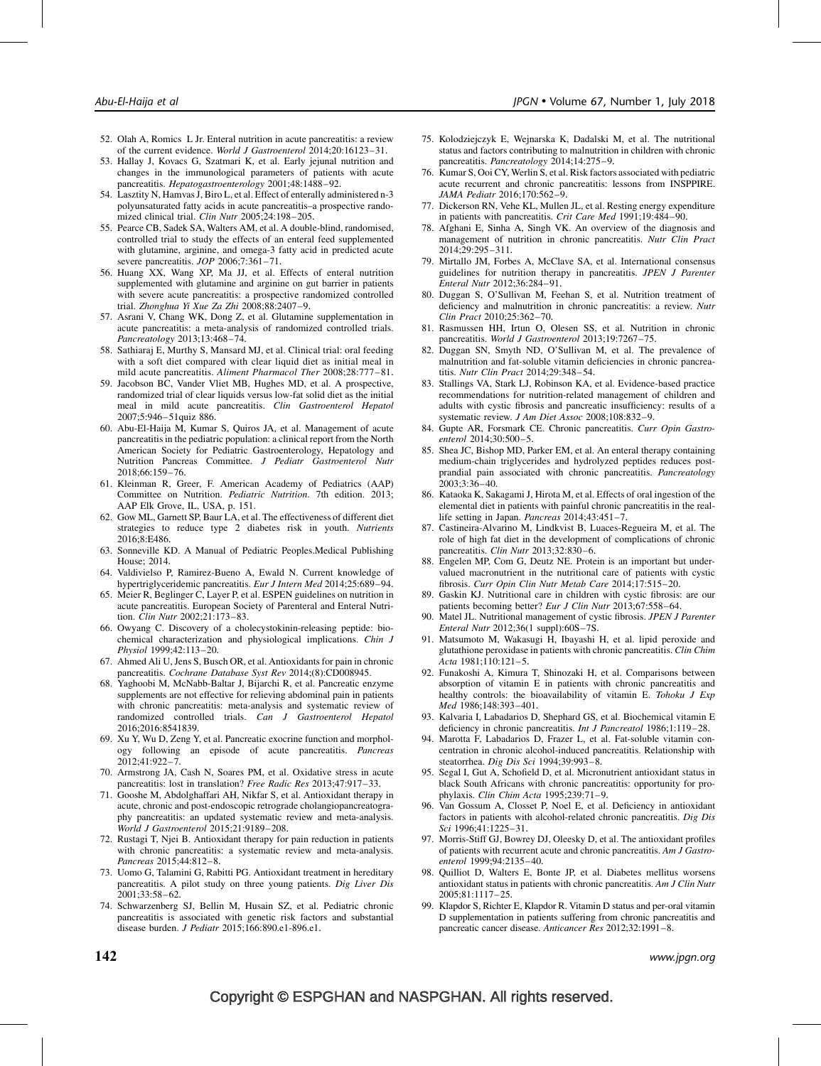- 52. Olah A, Romics L Jr. Enteral nutrition in acute pancreatitis: a review of the current evidence. World J Gastroenterol 2014;20:16123–31.
- 53. Hallay J, Kovacs G, Szatmari K, et al. Early jejunal nutrition and changes in the immunological parameters of patients with acute pancreatitis. Hepatogastroenterology 2001;48:1488-92.
- 54. Lasztity N, Hamvas J, Biro L, et al. Effect of enterally administered n-3 polyunsaturated fatty acids in acute pancreatitis–a prospective randomized clinical trial. Clin Nutr 2005;24:198-205.
- 55. Pearce CB, Sadek SA, Walters AM, et al. A double-blind, randomised, controlled trial to study the effects of an enteral feed supplemented with glutamine, arginine, and omega-3 fatty acid in predicted acute severe pancreatitis. *JOP* 2006;7:361-71.
- 56. Huang XX, Wang XP, Ma JJ, et al. Effects of enteral nutrition supplemented with glutamine and arginine on gut barrier in patients with severe acute pancreatitis: a prospective randomized controlled trial. Zhonghua Yi Xue Za Zhi  $2008;88:2407-9$ .
- 57. Asrani V, Chang WK, Dong Z, et al. Glutamine supplementation in acute pancreatitis: a meta-analysis of randomized controlled trials. Pancreatology 2013;13:468–74.
- 58. Sathiaraj E, Murthy S, Mansard MJ, et al. Clinical trial: oral feeding with a soft diet compared with clear liquid diet as initial meal in mild acute pancreatitis. Aliment Pharmacol Ther 2008;28:777–81.
- 59. Jacobson BC, Vander Vliet MB, Hughes MD, et al. A prospective, randomized trial of clear liquids versus low-fat solid diet as the initial meal in mild acute pancreatitis. Clin Gastroenterol Hepatol 2007;5:946–51quiz 886.
- 60. Abu-El-Haija M, Kumar S, Quiros JA, et al. Management of acute pancreatitis in the pediatric population: a clinical report from the North American Society for Pediatric Gastroenterology, Hepatology and Nutrition Pancreas Committee. J Pediatr Gastroenterol Nutr 2018;66:159–76.
- 61. Kleinman R, Greer, F. American Academy of Pediatrics (AAP) Committee on Nutrition. Pediatric Nutrition. 7th edition. 2013; AAP Elk Grove, IL, USA, p. 151.
- 62. Gow ML, Garnett SP, Baur LA, et al. The effectiveness of different diet strategies to reduce type 2 diabetes risk in youth. Nutrients 2016;8:E486.
- 63. Sonneville KD. A Manual of Pediatric Peoples.Medical Publishing House; 2014.
- 64. Valdivielso P, Ramirez-Bueno A, Ewald N. Current knowledge of hypertriglyceridemic pancreatitis. Eur J Intern Med 2014;25:689-94.
- 65. Meier R, Beglinger C, Layer P, et al. ESPEN guidelines on nutrition in acute pancreatitis. European Society of Parenteral and Enteral Nutrition. Clin Nutr 2002;21:173–83.
- 66. Owyang C. Discovery of a cholecystokinin-releasing peptide: biochemical characterization and physiological implications. Chin J Physiol 1999;42:113–20.
- 67. Ahmed Ali U, Jens S, Busch OR, et al. Antioxidants for pain in chronic pancreatitis. Cochrane Database Syst Rev 2014;(8):CD008945.
- 68. Yaghoobi M, McNabb-Baltar J, Bijarchi R, et al. Pancreatic enzyme supplements are not effective for relieving abdominal pain in patients with chronic pancreatitis: meta-analysis and systematic review of randomized controlled trials. Can J Gastroenterol Hepatol 2016;2016:8541839.
- 69. Xu Y, Wu D, Zeng Y, et al. Pancreatic exocrine function and morphology following an episode of acute pancreatitis. Pancreas 2012;41:922–7.
- 70. Armstrong JA, Cash N, Soares PM, et al. Oxidative stress in acute pancreatitis: lost in translation? Free Radic Res 2013;47:917-33.
- 71. Gooshe M, Abdolghaffari AH, Nikfar S, et al. Antioxidant therapy in acute, chronic and post-endoscopic retrograde cholangiopancreatography pancreatitis: an updated systematic review and meta-analysis. World J Gastroenterol 2015;21:9189–208.
- 72. Rustagi T, Njei B. Antioxidant therapy for pain reduction in patients with chronic pancreatitis: a systematic review and meta-analysis. Pancreas 2015;44:812–8.
- 73. Uomo G, Talamini G, Rabitti PG. Antioxidant treatment in hereditary pancreatitis. A pilot study on three young patients. Dig Liver Dis 2001;33:58–62.
- 74. Schwarzenberg SJ, Bellin M, Husain SZ, et al. Pediatric chronic pancreatitis is associated with genetic risk factors and substantial disease burden. J Pediatr 2015;166:890.e1-896.e1.
- 75. Kolodziejczyk E, Wejnarska K, Dadalski M, et al. The nutritional status and factors contributing to malnutrition in children with chronic pancreatitis. Pancreatology 2014;14:275–9.
- 76. Kumar S, Ooi CY, Werlin S, et al. Risk factors associated with pediatric acute recurrent and chronic pancreatitis: lessons from INSPPIRE. JAMA Pediatr 2016;170:562–9.
- 77. Dickerson RN, Vehe KL, Mullen JL, et al. Resting energy expenditure in patients with pancreatitis. Crit Care Med 1991;19:484–90.
- 78. Afghani E, Sinha A, Singh VK. An overview of the diagnosis and management of nutrition in chronic pancreatitis. Nutr Clin Pract 2014;29:295–311.
- 79. Mirtallo JM, Forbes A, McClave SA, et al. International consensus guidelines for nutrition therapy in pancreatitis. JPEN J Parenter Enteral Nutr 2012;36:284–91.
- 80. Duggan S, O'Sullivan M, Feehan S, et al. Nutrition treatment of deficiency and malnutrition in chronic pancreatitis: a review. Nutr Clin Pract 2010;25:362–70.
- 81. Rasmussen HH, Irtun O, Olesen SS, et al. Nutrition in chronic pancreatitis. World J Gastroenterol 2013;19:7267–75.
- 82. Duggan SN, Smyth ND, O'Sullivan M, et al. The prevalence of malnutrition and fat-soluble vitamin deficiencies in chronic pancreatitis. Nutr Clin Pract 2014;29:348–54.
- 83. Stallings VA, Stark LJ, Robinson KA, et al. Evidence-based practice recommendations for nutrition-related management of children and adults with cystic fibrosis and pancreatic insufficiency: results of a systematic review. J Am Diet Assoc 2008;108:832–9.
- 84. Gupte AR, Forsmark CE. Chronic pancreatitis. Curr Opin Gastroenterol 2014;30:500–5.
- 85. Shea JC, Bishop MD, Parker EM, et al. An enteral therapy containing medium-chain triglycerides and hydrolyzed peptides reduces postprandial pain associated with chronic pancreatitis. Pancreatology 2003;3:36–40.
- 86. Kataoka K, Sakagami J, Hirota M, et al. Effects of oral ingestion of the elemental diet in patients with painful chronic pancreatitis in the reallife setting in Japan. Pancreas 2014;43:451-7.
- 87. Castineira-Alvarino M, Lindkvist B, Luaces-Regueira M, et al. The role of high fat diet in the development of complications of chronic pancreatitis. Clin Nutr 2013;32:830–6.
- 88. Engelen MP, Com G, Deutz NE. Protein is an important but undervalued macronutrient in the nutritional care of patients with cystic fibrosis. Curr Opin Clin Nutr Metab Care 2014;17:515–20.
- 89. Gaskin KJ. Nutritional care in children with cystic fibrosis: are our patients becoming better? Eur J Clin Nutr 2013;67:558-64.
- 90. Matel JL. Nutritional management of cystic fibrosis. JPEN J Parenter Enteral Nutr 2012;36(1 suppl):60S–7S.
- 91. Matsumoto M, Wakasugi H, Ibayashi H, et al. lipid peroxide and glutathione peroxidase in patients with chronic pancreatitis. Clin Chim Acta 1981;110:121–5.
- 92. Funakoshi A, Kimura T, Shinozaki H, et al. Comparisons between absorption of vitamin E in patients with chronic pancreatitis and healthy controls: the bioavailability of vitamin E. Tohoku J Exp Med 1986;148:393–401.
- 93. Kalvaria I, Labadarios D, Shephard GS, et al. Biochemical vitamin E deficiency in chronic pancreatitis. *Int J Pancreatol* 1986;1:119-28.
- 94. Marotta F, Labadarios D, Frazer L, et al. Fat-soluble vitamin concentration in chronic alcohol-induced pancreatitis. Relationship with steatorrhea. Dig Dis Sci 1994;39:993–8.
- 95. Segal I, Gut A, Schofield D, et al. Micronutrient antioxidant status in black South Africans with chronic pancreatitis: opportunity for prophylaxis. Clin Chim Acta 1995;239:71–9.
- 96. Van Gossum A, Closset P, Noel E, et al. Deficiency in antioxidant factors in patients with alcohol-related chronic pancreatitis. Dig Dis Sci 1996;41:1225–31.
- 97. Morris-Stiff GJ, Bowrey DJ, Oleesky D, et al. The antioxidant profiles of patients with recurrent acute and chronic pancreatitis. Am J Gastroenterol 1999;94:2135–40.
- 98. Quilliot D, Walters E, Bonte JP, et al. Diabetes mellitus worsens antioxidant status in patients with chronic pancreatitis. Am J Clin Nutr 2005;81:1117–25.
- 99. Klapdor S, Richter E, Klapdor R. Vitamin D status and per-oral vitamin D supplementation in patients suffering from chronic pancreatitis and pancreatic cancer disease. Anticancer Res 2012;32:1991–8.